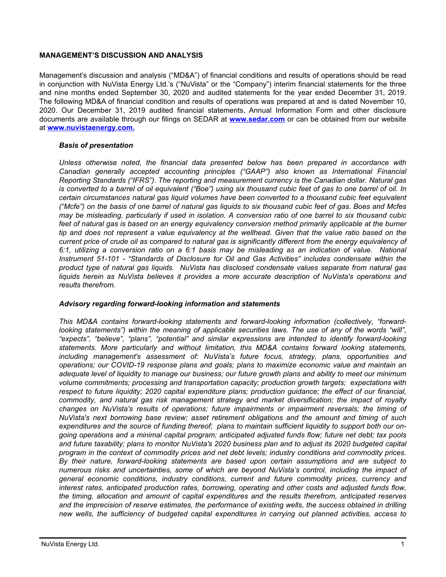## **MANAGEMENT'S DISCUSSION AND ANALYSIS**

Management's discussion and analysis ("MD&A") of financial conditions and results of operations should be read in conjunction with NuVista Energy Ltd.'s ("NuVista" or the "Company") interim financial statements for the three and nine months ended September 30, 2020 and audited statements for the year ended December 31, 2019. The following MD&A of financial condition and results of operations was prepared at and is dated November 10, 2020. Our December 31, 2019 audited financial statements, Annual Information Form and other disclosure documents are available through our filings on SEDAR at **[www.sedar.com](http://www.sedar.com)** or can be obtained from our website at **[www.nuvistaenergy.com](http://www.nuvistaenergy.com).**

## *Basis of presentation*

*Unless otherwise noted, the financial data presented below has been prepared in accordance with Canadian generally accepted accounting principles ("GAAP") also known as International Financial Reporting Standards ("IFRS"). The reporting and measurement currency is the Canadian dollar. Natural gas is converted to a barrel of oil equivalent ("Boe") using six thousand cubic feet of gas to one barrel of oil. In certain circumstances natural gas liquid volumes have been converted to a thousand cubic feet equivalent ("Mcfe") on the basis of one barrel of natural gas liquids to six thousand cubic feet of gas. Boes and Mcfes may be misleading, particularly if used in isolation. A conversion ratio of one barrel to six thousand cubic*  feet of natural gas is based on an energy equivalency conversion method primarily applicable at the burner *tip and does not represent a value equivalency at the wellhead. Given that the value ratio based on the current price of crude oil as compared to natural gas is significantly different from the energy equivalency of 6:1, utilizing a conversion ratio on a 6:1 basis may be misleading as an indication of value. National Instrument 51-101 - "Standards of Disclosure for Oil and Gas Activities" includes condensate within the product type of natural gas liquids. NuVista has disclosed condensate values separate from natural gas*  liquids herein as NuVista believes it provides a more accurate description of NuVista's operations and *results therefrom.* 

#### *Advisory regarding forward-looking information and statements*

*This MD&A contains forward-looking statements and forward-looking information (collectively, "forwardlooking statements") within the meaning of applicable securities laws. The use of any of the words "will", "expects", "believe", "plans", "potential" and similar expressions are intended to identify forward-looking statements. More particularly and without limitation, this MD&A contains forward looking statements, including management's assessment of: NuVista's future focus, strategy, plans, opportunities and operations; our COVID-19 response plans and goals; plans to maximize economic value and maintain an adequate level of liquidity to manage our business; our future growth plans and ability to meet our minimum volume commitments; processing and transportation capacity; production growth targets; expectations with respect to future liquidity; 2020 capital expenditure plans; production guidance; the effect of our financial, commodity, and natural gas risk management strategy and market diversification; the impact of royalty changes on NuVista's results of operations; future impairments or impairment reversals; the timing of NuVista's next borrowing base review; asset retirement obligations and the amount and timing of such expenditures and the source of funding thereof; plans to maintain sufficient liquidity to support both our ongoing operations and a minimal capital program; anticipated adjusted funds flow; future net debt; tax pools*  and future taxability; plans to monitor NuVista's 2020 business plan and to adjust its 2020 budgeted capital *program in the context of commodity prices and net debt levels; industry conditions and commodity prices. By their nature, forward-looking statements are based upon certain assumptions and are subject to numerous risks and uncertainties, some of which are beyond NuVista's control, including the impact of general economic conditions, industry conditions, current and future commodity prices, currency and interest rates, anticipated production rates, borrowing, operating and other costs and adjusted funds flow, the timing, allocation and amount of capital expenditures and the results therefrom, anticipated reserves and the imprecision of reserve estimates, the performance of existing wells, the success obtained in drilling new wells, the sufficiency of budgeted capital expenditures in carrying out planned activities, access to*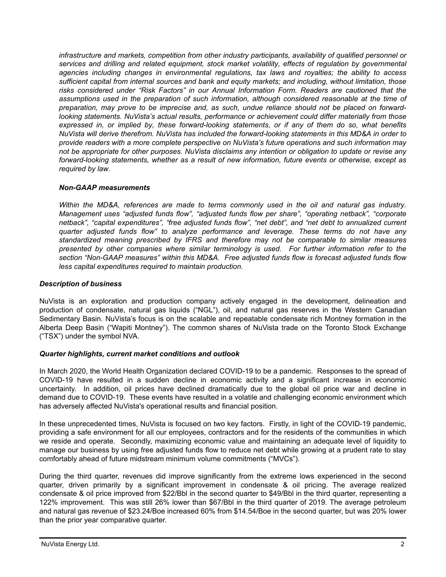*infrastructure and markets, competition from other industry participants, availability of qualified personnel or services and drilling and related equipment, stock market volatility, effects of regulation by governmental agencies including changes in environmental regulations, tax laws and royalties; the ability to access sufficient capital from internal sources and bank and equity markets; and including, without limitation, those risks considered under "Risk Factors" in our Annual Information Form. Readers are cautioned that the assumptions used in the preparation of such information, although considered reasonable at the time of preparation, may prove to be imprecise and, as such, undue reliance should not be placed on forwardlooking statements. NuVista's actual results, performance or achievement could differ materially from those expressed in, or implied by, these forward-looking statements, or if any of them do so, what benefits NuVista will derive therefrom. NuVista has included the forward-looking statements in this MD&A in order to provide readers with a more complete perspective on NuVista's future operations and such information may not be appropriate for other purposes. NuVista disclaims any intention or obligation to update or revise any forward-looking statements, whether as a result of new information, future events or otherwise, except as required by law.*

## *Non-GAAP measurements*

*Within the MD&A, references are made to terms commonly used in the oil and natural gas industry. Management uses "adjusted funds flow", "adjusted funds flow per share", "operating netback", "corporate netback", "capital expenditures", "free adjusted funds flow", "net debt", and "net debt to annualized current quarter adjusted funds flow" to analyze performance and leverage. These terms do not have any standardized meaning prescribed by IFRS and therefore may not be comparable to similar measures presented by other companies where similar terminology is used. For further information refer to the section "Non-GAAP measures" within this MD&A. Free adjusted funds flow is forecast adjusted funds flow less capital expenditures required to maintain production.* 

## *Description of business*

NuVista is an exploration and production company actively engaged in the development, delineation and production of condensate, natural gas liquids ("NGL"), oil, and natural gas reserves in the Western Canadian Sedimentary Basin. NuVista's focus is on the scalable and repeatable condensate rich Montney formation in the Alberta Deep Basin ("Wapiti Montney"). The common shares of NuVista trade on the Toronto Stock Exchange ("TSX") under the symbol NVA.

## *Quarter highlights, current market conditions and outlook*

In March 2020, the World Health Organization declared COVID-19 to be a pandemic. Responses to the spread of COVID-19 have resulted in a sudden decline in economic activity and a significant increase in economic uncertainty. In addition, oil prices have declined dramatically due to the global oil price war and decline in demand due to COVID-19. These events have resulted in a volatile and challenging economic environment which has adversely affected NuVista's operational results and financial position.

In these unprecedented times, NuVista is focused on two key factors. Firstly, in light of the COVID-19 pandemic, providing a safe environment for all our employees, contractors and for the residents of the communities in which we reside and operate. Secondly, maximizing economic value and maintaining an adequate level of liquidity to manage our business by using free adjusted funds flow to reduce net debt while growing at a prudent rate to stay comfortably ahead of future midstream minimum volume commitments ("MVCs").

During the third quarter, revenues did improve significantly from the extreme lows experienced in the second quarter, driven primarily by a significant improvement in condensate & oil pricing. The average realized condensate & oil price improved from \$22/Bbl in the second quarter to \$49/Bbl in the third quarter, representing a 122% improvement. This was still 26% lower than \$67/Bbl in the third quarter of 2019. The average petroleum and natural gas revenue of \$23.24/Boe increased 60% from \$14.54/Boe in the second quarter, but was 20% lower than the prior year comparative quarter.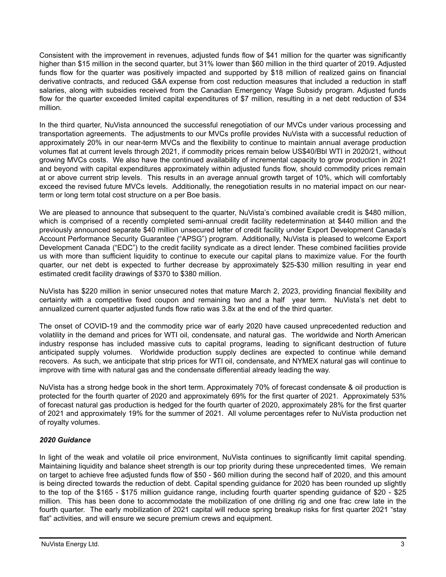Consistent with the improvement in revenues, adjusted funds flow of \$41 million for the quarter was significantly higher than \$15 million in the second quarter, but 31% lower than \$60 million in the third quarter of 2019. Adjusted funds flow for the quarter was positively impacted and supported by \$18 million of realized gains on financial derivative contracts, and reduced G&A expense from cost reduction measures that included a reduction in staff salaries, along with subsidies received from the Canadian Emergency Wage Subsidy program. Adjusted funds flow for the quarter exceeded limited capital expenditures of \$7 million, resulting in a net debt reduction of \$34 million.

In the third quarter, NuVista announced the successful renegotiation of our MVCs under various processing and transportation agreements. The adjustments to our MVCs profile provides NuVista with a successful reduction of approximately 20% in our near-term MVCs and the flexibility to continue to maintain annual average production volumes flat at current levels through 2021, if commodity prices remain below US\$40/Bbl WTI in 2020/21, without growing MVCs costs. We also have the continued availability of incremental capacity to grow production in 2021 and beyond with capital expenditures approximately within adjusted funds flow, should commodity prices remain at or above current strip levels. This results in an average annual growth target of 10%, which will comfortably exceed the revised future MVCs levels. Additionally, the renegotiation results in no material impact on our nearterm or long term total cost structure on a per Boe basis.

We are pleased to announce that subsequent to the quarter, NuVista's combined available credit is \$480 million, which is comprised of a recently completed semi-annual credit facility redetermination at \$440 million and the previously announced separate \$40 million unsecured letter of credit facility under Export Development Canada's Account Performance Security Guarantee ("APSG") program. Additionally, NuVista is pleased to welcome Export Development Canada ("EDC") to the credit facility syndicate as a direct lender. These combined facilities provide us with more than sufficient liquidity to continue to execute our capital plans to maximize value. For the fourth quarter, our net debt is expected to further decrease by approximately \$25-\$30 million resulting in year end estimated credit facility drawings of \$370 to \$380 million.

NuVista has \$220 million in senior unsecured notes that mature March 2, 2023, providing financial flexibility and certainty with a competitive fixed coupon and remaining two and a half year term. NuVista's net debt to annualized current quarter adjusted funds flow ratio was 3.8x at the end of the third quarter.

The onset of COVID-19 and the commodity price war of early 2020 have caused unprecedented reduction and volatility in the demand and prices for WTI oil, condensate, and natural gas. The worldwide and North American industry response has included massive cuts to capital programs, leading to significant destruction of future anticipated supply volumes. Worldwide production supply declines are expected to continue while demand recovers. As such, we anticipate that strip prices for WTI oil, condensate, and NYMEX natural gas will continue to improve with time with natural gas and the condensate differential already leading the way.

NuVista has a strong hedge book in the short term. Approximately 70% of forecast condensate & oil production is protected for the fourth quarter of 2020 and approximately 69% for the first quarter of 2021. Approximately 53% of forecast natural gas production is hedged for the fourth quarter of 2020, approximately 28% for the first quarter of 2021 and approximately 19% for the summer of 2021. All volume percentages refer to NuVista production net of royalty volumes.

# *2020 Guidance*

In light of the weak and volatile oil price environment, NuVista continues to significantly limit capital spending. Maintaining liquidity and balance sheet strength is our top priority during these unprecedented times. We remain on target to achieve free adjusted funds flow of \$50 - \$60 million during the second half of 2020, and this amount is being directed towards the reduction of debt. Capital spending guidance for 2020 has been rounded up slightly to the top of the \$165 - \$175 million guidance range, including fourth quarter spending guidance of \$20 - \$25 million. This has been done to accommodate the mobilization of one drilling rig and one frac crew late in the fourth quarter. The early mobilization of 2021 capital will reduce spring breakup risks for first quarter 2021 "stay flat" activities, and will ensure we secure premium crews and equipment.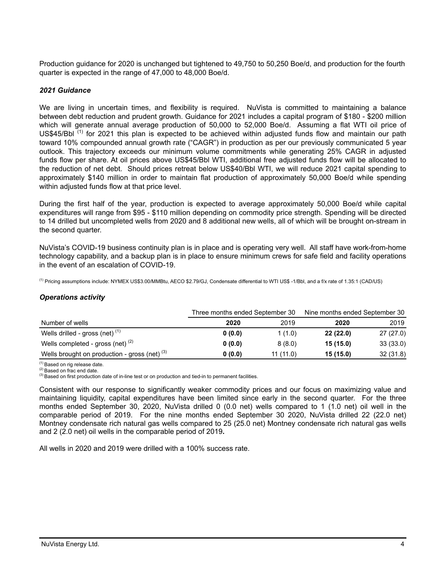Production guidance for 2020 is unchanged but tightened to 49,750 to 50,250 Boe/d, and production for the fourth quarter is expected in the range of 47,000 to 48,000 Boe/d.

### *2021 Guidance*

We are living in uncertain times, and flexibility is required. NuVista is committed to maintaining a balance between debt reduction and prudent growth. Guidance for 2021 includes a capital program of \$180 - \$200 million which will generate annual average production of 50,000 to 52,000 Boe/d. Assuming a flat WTI oil price of US\$45/Bbl<sup>(1)</sup> for 2021 this plan is expected to be achieved within adjusted funds flow and maintain our path toward 10% compounded annual growth rate ("CAGR") in production as per our previously communicated 5 year outlook. This trajectory exceeds our minimum volume commitments while generating 25% CAGR in adjusted funds flow per share. At oil prices above US\$45/Bbl WTI, additional free adjusted funds flow will be allocated to the reduction of net debt. Should prices retreat below US\$40/Bbl WTI, we will reduce 2021 capital spending to approximately \$140 million in order to maintain flat production of approximately 50,000 Boe/d while spending within adjusted funds flow at that price level.

During the first half of the year, production is expected to average approximately 50,000 Boe/d while capital expenditures will range from \$95 - \$110 million depending on commodity price strength. Spending will be directed to 14 drilled but uncompleted wells from 2020 and 8 additional new wells, all of which will be brought on-stream in the second quarter.

NuVista's COVID-19 business continuity plan is in place and is operating very well. All staff have work-from-home technology capability, and a backup plan is in place to ensure minimum crews for safe field and facility operations in the event of an escalation of COVID-19.

(1) Pricing assumptions include: NYMEX US\$3.00/MMBtu, AECO \$2.79/GJ, Condensate differential to WTI US\$ -1/Bbl, and a f/x rate of 1.35:1 (CAD/US)

#### *Operations activity*

|                                                 | Three months ended September 30 | Nine months ended September 30 |          |           |
|-------------------------------------------------|---------------------------------|--------------------------------|----------|-----------|
| Number of wells                                 | 2020                            | 2019                           | 2020     | 2019      |
| Wells drilled - gross (net) $(1)$               | 0(0.0)                          | 1(1.0)                         | 22(22.0) | 27(27.0)  |
| Wells completed - gross (net) $(2)$             | 0(0.0)                          | 8(8.0)                         | 15(15.0) | 33 (33.0) |
| Wells brought on production - gross (net) $(3)$ | 0(0.0)                          | 11(11.0)                       | 15(15.0) | 32(31.8)  |

(1) Based on rig release date. (2) Based on frac end date.

(3) Based on first production date of in-line test or on production and tied-in to permanent facilities.

Consistent with our response to significantly weaker commodity prices and our focus on maximizing value and maintaining liquidity, capital expenditures have been limited since early in the second quarter. For the three months ended September 30, 2020, NuVista drilled 0 (0.0 net) wells compared to 1 (1.0 net) oil well in the comparable period of 2019. For the nine months ended September 30 2020, NuVista drilled 22 (22.0 net) Montney condensate rich natural gas wells compared to 25 (25.0 net) Montney condensate rich natural gas wells and 2 (2.0 net) oil wells in the comparable period of 2019**.**

All wells in 2020 and 2019 were drilled with a 100% success rate.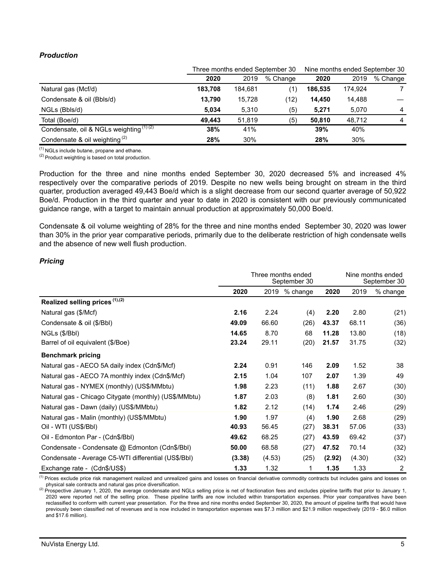# *Production*

|                                          |         | Three months ended September 30 | Nine months ended September 30 |         |         |          |
|------------------------------------------|---------|---------------------------------|--------------------------------|---------|---------|----------|
|                                          | 2020    | 2019                            | % Change                       | 2020    | 2019    | % Change |
| Natural gas (Mcf/d)                      | 183.708 | 184.681                         | (1)                            | 186,535 | 174.924 |          |
| Condensate & oil (Bbls/d)                | 13.790  | 15.728                          | (12)                           | 14.450  | 14,488  |          |
| NGLs (Bbls/d)                            | 5.034   | 5.310                           | (5)                            | 5,271   | 5.070   | 4        |
| Total (Boe/d)                            | 49.443  | 51.819                          | (5)                            | 50.810  | 48.712  | 4        |
| Condensate, oil & NGLs weighting (1) (2) | 38%     | 41%                             |                                | 39%     | 40%     |          |
| Condensate & oil weighting $(2)$         | 28%     | 30%                             |                                | 28%     | 30%     |          |

 $(1)$  NGLs include butane, propane and ethane.

 $(2)$  Product weighting is based on total production.

Production for the three and nine months ended September 30, 2020 decreased 5% and increased 4% respectively over the comparative periods of 2019. Despite no new wells being brought on stream in the third quarter, production averaged 49,443 Boe/d which is a slight decrease from our second quarter average of 50,922 Boe/d. Production in the third quarter and year to date in 2020 is consistent with our previously communicated guidance range, with a target to maintain annual production at approximately 50,000 Boe/d.

Condensate & oil volume weighting of 28% for the three and nine months ended September 30, 2020 was lower than 30% in the prior year comparative periods, primarily due to the deliberate restriction of high condensate wells and the absence of new well flush production.

## *Pricing*

|                                                       | Three months ended<br>September 30 |        |               |        |        | Nine months ended<br>September 30 |  |
|-------------------------------------------------------|------------------------------------|--------|---------------|--------|--------|-----------------------------------|--|
|                                                       | 2020                               |        | 2019 % change | 2020   | 2019   | % change                          |  |
| Realized selling prices (1),(2)                       |                                    |        |               |        |        |                                   |  |
| Natural gas (\$/Mcf)                                  | 2.16                               | 2.24   | (4)           | 2.20   | 2.80   | (21)                              |  |
| Condensate & oil (\$/Bbl)                             | 49.09                              | 66.60  | (26)          | 43.37  | 68.11  | (36)                              |  |
| NGLs (\$/Bbl)                                         | 14.65                              | 8.70   | 68            | 11.28  | 13.80  | (18)                              |  |
| Barrel of oil equivalent (\$/Boe)                     | 23.24                              | 29.11  | (20)          | 21.57  | 31.75  | (32)                              |  |
| <b>Benchmark pricing</b>                              |                                    |        |               |        |        |                                   |  |
| Natural gas - AECO 5A daily index (Cdn\$/Mcf)         | 2.24                               | 0.91   | 146           | 2.09   | 1.52   | 38                                |  |
| Natural gas - AECO 7A monthly index (Cdn\$/Mcf)       | 2.15                               | 1.04   | 107           | 2.07   | 1.39   | 49                                |  |
| Natural gas - NYMEX (monthly) (US\$/MMbtu)            | 1.98                               | 2.23   | (11)          | 1.88   | 2.67   | (30)                              |  |
| Natural gas - Chicago Citygate (monthly) (US\$/MMbtu) | 1.87                               | 2.03   | (8)           | 1.81   | 2.60   | (30)                              |  |
| Natural gas - Dawn (daily) (US\$/MMbtu)               | 1.82                               | 2.12   | (14)          | 1.74   | 2.46   | (29)                              |  |
| Natural gas - Malin (monthly) (US\$/MMbtu)            | 1.90                               | 1.97   | (4)           | 1.90   | 2.68   | (29)                              |  |
| Oil - WTI (US\$/Bbl)                                  | 40.93                              | 56.45  | (27)          | 38.31  | 57.06  | (33)                              |  |
| Oil - Edmonton Par - (Cdn\$/Bbl)                      | 49.62                              | 68.25  | (27)          | 43.59  | 69.42  | (37)                              |  |
| Condensate - Condensate @ Edmonton (Cdn\$/Bbl)        | 50.00                              | 68.58  | (27)          | 47.52  | 70.14  | (32)                              |  |
| Condensate - Average C5-WTI differential (US\$/BbI)   | (3.38)                             | (4.53) | (25)          | (2.92) | (4.30) | (32)                              |  |
| Exchange rate - (Cdn\$/US\$)                          | 1.33                               | 1.32   | 1             | 1.35   | 1.33   | $\overline{c}$                    |  |

<sup>(1)</sup> Prices exclude price risk management realized and unrealized gains and losses on financial derivative commodity contracts but includes gains and losses on physical sale contracts and natural gas price diversification.

(2) Prospective January 1, 2020, the average condensate and NGLs selling price is net of fractionation fees and excludes pipeline tariffs that prior to January 1, 2020 were reported net of the selling price. These pipeline tariffs are now included within transportation expenses. Prior year comparatives have been reclassified to conform with current year presentation. For the three and nine months ended September 30, 2020, the amount of pipeline tariffs that would have previously been classified net of revenues and is now included in transportation expenses was \$7.3 million and \$21.9 million respectively (2019 - \$6.0 million and \$17.6 million).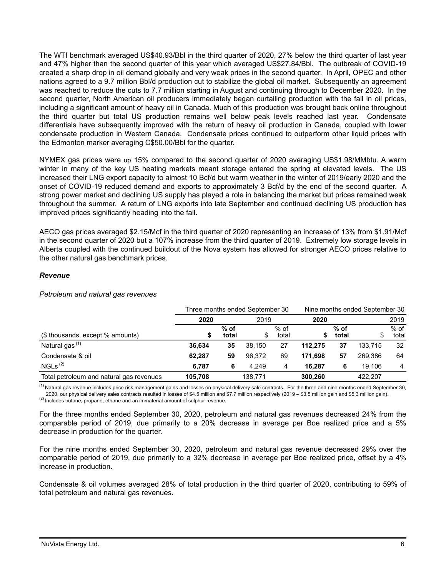The WTI benchmark averaged US\$40.93/Bbl in the third quarter of 2020, 27% below the third quarter of last year and 47% higher than the second quarter of this year which averaged US\$27.84/Bbl. The outbreak of COVID-19 created a sharp drop in oil demand globally and very weak prices in the second quarter. In April, OPEC and other nations agreed to a 9.7 million Bbl/d production cut to stabilize the global oil market. Subsequently an agreement was reached to reduce the cuts to 7.7 million starting in August and continuing through to December 2020. In the second quarter, North American oil producers immediately began curtailing production with the fall in oil prices, including a significant amount of heavy oil in Canada. Much of this production was brought back online throughout the third quarter but total US production remains well below peak levels reached last year. Condensate differentials have subsequently improved with the return of heavy oil production in Canada, coupled with lower condensate production in Western Canada. Condensate prices continued to outperform other liquid prices with the Edmonton marker averaging C\$50.00/Bbl for the quarter.

NYMEX gas prices were up 15% compared to the second quarter of 2020 averaging US\$1.98/MMbtu. A warm winter in many of the key US heating markets meant storage entered the spring at elevated levels. The US increased their LNG export capacity to almost 10 Bcf/d but warm weather in the winter of 2019/early 2020 and the onset of COVID-19 reduced demand and exports to approximately 3 Bcf/d by the end of the second quarter. A strong power market and declining US supply has played a role in balancing the market but prices remained weak throughout the summer. A return of LNG exports into late September and continued declining US production has improved prices significantly heading into the fall.

AECO gas prices averaged \$2.15/Mcf in the third quarter of 2020 representing an increase of 13% from \$1.91/Mcf in the second quarter of 2020 but a 107% increase from the third quarter of 2019. Extremely low storage levels in Alberta coupled with the continued buildout of the Nova system has allowed for stronger AECO prices relative to the other natural gas benchmark prices.

## *Revenue*

#### *Petroleum and natural gas revenues*

|                                          | Three months ended September 30 |                 |         |                 |         |                 | Nine months ended September 30 |                 |  |
|------------------------------------------|---------------------------------|-----------------|---------|-----------------|---------|-----------------|--------------------------------|-----------------|--|
|                                          | 2020                            |                 | 2019    |                 | 2020    |                 | 2019                           |                 |  |
| (\$ thousands, except % amounts)         | J                               | $%$ of<br>total |         | $%$ of<br>total |         | $%$ of<br>total |                                | $%$ of<br>total |  |
| Natural gas $(1)$                        | 36.634                          | 35              | 38.150  | 27              | 112.275 | 37              | 133.715                        | 32              |  |
| Condensate & oil                         | 62.287                          | 59              | 96.372  | 69              | 171.698 | 57              | 269.386                        | 64              |  |
| NGLs <sup>(2)</sup>                      | 6.787                           | 6               | 4.249   | 4               | 16.287  | 6               | 19.106                         | 4               |  |
| Total petroleum and natural gas revenues | 105.708                         |                 | 138.771 |                 | 300.260 |                 | 422.207                        |                 |  |

<sup>(1)</sup> Natural gas revenue includes price risk management gains and losses on physical delivery sale contracts. For the three and nine months ended September 30, 2020, our physical delivery sales contracts resulted in losses of \$4.5 million and \$7.7 million respectively (2019 – \$3.5 million gain and \$5.3 million gain).  $(2)$  Includes butane, propane, ethane and an immaterial amount of sulphur revenue.

For the three months ended September 30, 2020, petroleum and natural gas revenues decreased 24% from the comparable period of 2019, due primarily to a 20% decrease in average per Boe realized price and a 5% decrease in production for the quarter.

For the nine months ended September 30, 2020, petroleum and natural gas revenue decreased 29% over the comparable period of 2019, due primarily to a 32% decrease in average per Boe realized price, offset by a 4% increase in production.

Condensate & oil volumes averaged 28% of total production in the third quarter of 2020, contributing to 59% of total petroleum and natural gas revenues.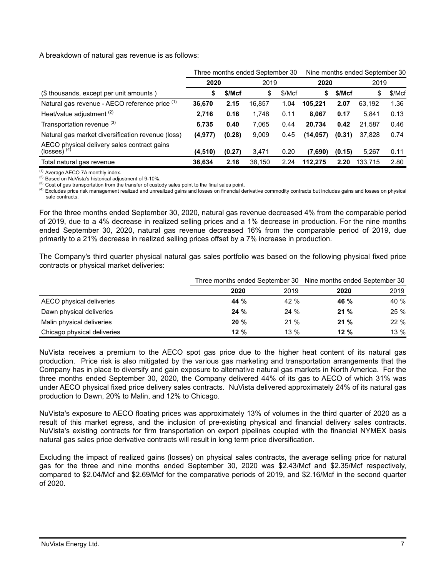A breakdown of natural gas revenue is as follows:

|                                                                        |          |        | Three months ended September 30 |        | Nine months ended September 30 |        |         |        |
|------------------------------------------------------------------------|----------|--------|---------------------------------|--------|--------------------------------|--------|---------|--------|
|                                                                        | 2020     |        | 2019                            |        | 2020                           |        | 2019    |        |
| (\$ thousands, except per unit amounts)                                | S        | \$/Mcf | \$                              | \$/Mcf | \$                             | \$/Mcf | \$      | \$/Mcf |
| Natural gas revenue - AECO reference price (1)                         | 36,670   | 2.15   | 16,857                          | 1.04   | 105.221                        | 2.07   | 63.192  | 1.36   |
| Heat/value adjustment <sup>(2)</sup>                                   | 2.716    | 0.16   | 1.748                           | 0.11   | 8.067                          | 0.17   | 5.841   | 0.13   |
| Transportation revenue (3)                                             | 6.735    | 0.40   | 7,065                           | 0.44   | 20.734                         | 0.42   | 21.587  | 0.46   |
| Natural gas market diversification revenue (loss)                      | (4, 977) | (0.28) | 9,009                           | 0.45   | (14, 057)                      | (0.31) | 37,828  | 0.74   |
| AECO physical delivery sales contract gains<br>(losses) <sup>(4)</sup> | (4,510)  | (0.27) | 3,471                           | 0.20   | (7,690)                        | (0.15) | 5,267   | 0.11   |
| Total natural gas revenue                                              | 36.634   | 2.16   | 38.150                          | 2.24   | 112.275                        | 2.20   | 133.715 | 2.80   |

(1) Average AECO 7A monthly index.

(2) Based on NuVista's historical adjustment of 9-10%.

<sup>(3)</sup> Cost of gas transportation from the transfer of custody sales point to the final sales point.

(4) Excludes price risk management realized and unrealized gains and losses on financial derivative commodity contracts but includes gains and losses on physical sale contracts.

For the three months ended September 30, 2020, natural gas revenue decreased 4% from the comparable period of 2019, due to a 4% decrease in realized selling prices and a 1% decrease in production. For the nine months ended September 30, 2020, natural gas revenue decreased 16% from the comparable period of 2019, due primarily to a 21% decrease in realized selling prices offset by a 7% increase in production.

The Company's third quarter physical natural gas sales portfolio was based on the following physical fixed price contracts or physical market deliveries:

|                             |         |        | Three months ended September 30 Nine months ended September 30 |      |  |
|-----------------------------|---------|--------|----------------------------------------------------------------|------|--|
|                             | 2020    | 2019   | 2020                                                           | 2019 |  |
| AECO physical deliveries    | 44 %    | 42 %   | 46 %                                                           | 40 % |  |
| Dawn physical deliveries    | 24%     | 24%    | 21%                                                            | 25%  |  |
| Malin physical deliveries   | 20%     | 21%    | 21%                                                            | 22 % |  |
| Chicago physical deliveries | $12 \%$ | $13\%$ | 12%                                                            | 13 % |  |

NuVista receives a premium to the AECO spot gas price due to the higher heat content of its natural gas production. Price risk is also mitigated by the various gas marketing and transportation arrangements that the Company has in place to diversify and gain exposure to alternative natural gas markets in North America. For the three months ended September 30, 2020, the Company delivered 44% of its gas to AECO of which 31% was under AECO physical fixed price delivery sales contracts. NuVista delivered approximately 24% of its natural gas production to Dawn, 20% to Malin, and 12% to Chicago.

NuVista's exposure to AECO floating prices was approximately 13% of volumes in the third quarter of 2020 as a result of this market egress, and the inclusion of pre-existing physical and financial delivery sales contracts. NuVista's existing contracts for firm transportation on export pipelines coupled with the financial NYMEX basis natural gas sales price derivative contracts will result in long term price diversification.

Excluding the impact of realized gains (losses) on physical sales contracts, the average selling price for natural gas for the three and nine months ended September 30, 2020 was \$2.43/Mcf and \$2.35/Mcf respectively, compared to \$2.04/Mcf and \$2.69/Mcf for the comparative periods of 2019, and \$2.16/Mcf in the second quarter of 2020.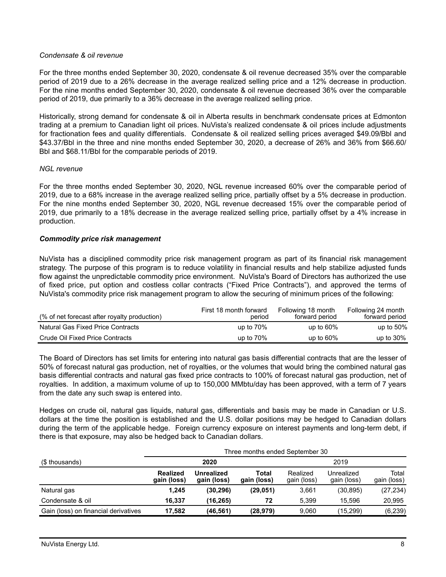## *Condensate & oil revenue*

For the three months ended September 30, 2020, condensate & oil revenue decreased 35% over the comparable period of 2019 due to a 26% decrease in the average realized selling price and a 12% decrease in production. For the nine months ended September 30, 2020, condensate & oil revenue decreased 36% over the comparable period of 2019, due primarily to a 36% decrease in the average realized selling price.

Historically, strong demand for condensate & oil in Alberta results in benchmark condensate prices at Edmonton trading at a premium to Canadian light oil prices. NuVista's realized condensate & oil prices include adjustments for fractionation fees and quality differentials. Condensate & oil realized selling prices averaged \$49.09/Bbl and \$43.37/Bbl in the three and nine months ended September 30, 2020, a decrease of 26% and 36% from \$66.60/ Bbl and \$68.11/Bbl for the comparable periods of 2019.

## *NGL revenue*

For the three months ended September 30, 2020, NGL revenue increased 60% over the comparable period of 2019, due to a 68% increase in the average realized selling price, partially offset by a 5% decrease in production. For the nine months ended September 30, 2020, NGL revenue decreased 15% over the comparable period of 2019, due primarily to a 18% decrease in the average realized selling price, partially offset by a 4% increase in production.

## *Commodity price risk management*

NuVista has a disciplined commodity price risk management program as part of its financial risk management strategy. The purpose of this program is to reduce volatility in financial results and help stabilize adjusted funds flow against the unpredictable commodity price environment. NuVista's Board of Directors has authorized the use of fixed price, put option and costless collar contracts ("Fixed Price Contracts"), and approved the terms of NuVista's commodity price risk management program to allow the securing of minimum prices of the following:

| (% of net forecast after royalty production) | First 18 month forward<br>period | Following 18 month<br>forward period | Following 24 month<br>forward period |
|----------------------------------------------|----------------------------------|--------------------------------------|--------------------------------------|
| Natural Gas Fixed Price Contracts            | up to $70\%$                     | up to $60\%$                         | up to $50\%$                         |
| Crude Oil Fixed Price Contracts              | up to $70\%$                     | up to $60\%$                         | up to $30\%$                         |

The Board of Directors has set limits for entering into natural gas basis differential contracts that are the lesser of 50% of forecast natural gas production, net of royalties, or the volumes that would bring the combined natural gas basis differential contracts and natural gas fixed price contracts to 100% of forecast natural gas production, net of royalties. In addition, a maximum volume of up to 150,000 MMbtu/day has been approved, with a term of 7 years from the date any such swap is entered into.

Hedges on crude oil, natural gas liquids, natural gas, differentials and basis may be made in Canadian or U.S. dollars at the time the position is established and the U.S. dollar positions may be hedged to Canadian dollars during the term of the applicable hedge. Foreign currency exposure on interest payments and long-term debt, if there is that exposure, may also be hedged back to Canadian dollars.

|                                      |                                | Three months ended September 30 |                      |                         |                           |                      |  |
|--------------------------------------|--------------------------------|---------------------------------|----------------------|-------------------------|---------------------------|----------------------|--|
| (\$ thousands)                       |                                | 2020                            |                      |                         | 2019                      |                      |  |
|                                      | <b>Realized</b><br>gain (loss) | Unrealized<br>gain (loss)       | Total<br>gain (loss) | Realized<br>gain (loss) | Unrealized<br>gain (loss) | Total<br>gain (loss) |  |
| Natural gas                          | 1.245                          | (30, 296)                       | (29, 051)            | 3,661                   | (30, 895)                 | (27, 234)            |  |
| Condensate & oil                     | 16.337                         | (16.265)                        | 72                   | 5.399                   | 15.596                    | 20.995               |  |
| Gain (loss) on financial derivatives | 17.582                         | (46, 561)                       | (28,979)             | 9.060                   | (15.299)                  | (6, 239)             |  |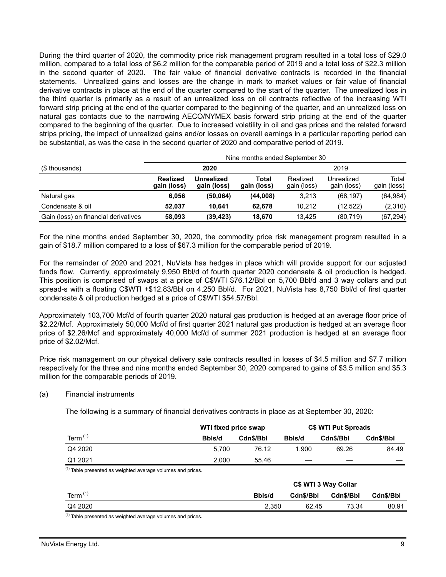During the third quarter of 2020, the commodity price risk management program resulted in a total loss of \$29.0 million, compared to a total loss of \$6.2 million for the comparable period of 2019 and a total loss of \$22.3 million in the second quarter of 2020. The fair value of financial derivative contracts is recorded in the financial statements. Unrealized gains and losses are the change in mark to market values or fair value of financial derivative contracts in place at the end of the quarter compared to the start of the quarter. The unrealized loss in the third quarter is primarily as a result of an unrealized loss on oil contracts reflective of the increasing WTI forward strip pricing at the end of the quarter compared to the beginning of the quarter, and an unrealized loss on natural gas contacts due to the narrowing AECO/NYMEX basis forward strip pricing at the end of the quarter compared to the beginning of the quarter. Due to increased volatility in oil and gas prices and the related forward strips pricing, the impact of unrealized gains and/or losses on overall earnings in a particular reporting period can be substantial, as was the case in the second quarter of 2020 and comparative period of 2019.

|                                      | Nine months ended September 30 |                           |                      |                         |                           |                      |
|--------------------------------------|--------------------------------|---------------------------|----------------------|-------------------------|---------------------------|----------------------|
| (\$ thousands)                       |                                | 2020                      |                      |                         | 2019                      |                      |
|                                      | <b>Realized</b><br>gain (loss) | Unrealized<br>gain (loss) | Total<br>gain (loss) | Realized<br>gain (loss) | Unrealized<br>gain (loss) | Total<br>gain (loss) |
| Natural gas                          | 6,056                          | (50,064)                  | (44,008)             | 3,213                   | (68, 197)                 | (64, 984)            |
| Condensate & oil                     | 52.037                         | 10.641                    | 62.678               | 10.212                  | (12,522)                  | (2,310)              |
| Gain (loss) on financial derivatives | 58,093                         | (39, 423)                 | 18.670               | 13.425                  | (80, 719)                 | (67, 294)            |

For the nine months ended September 30, 2020, the commodity price risk management program resulted in a gain of \$18.7 million compared to a loss of \$67.3 million for the comparable period of 2019.

For the remainder of 2020 and 2021, NuVista has hedges in place which will provide support for our adjusted funds flow. Currently, approximately 9,950 Bbl/d of fourth quarter 2020 condensate & oil production is hedged. This position is comprised of swaps at a price of C\$WTI \$76.12/Bbl on 5,700 Bbl/d and 3 way collars and put spread-s with a floating C\$WTI +\$12.83/Bbl on 4,250 Bbl/d. For 2021, NuVista has 8,750 Bbl/d of first quarter condensate & oil production hedged at a price of C\$WTI \$54.57/Bbl.

Approximately 103,700 Mcf/d of fourth quarter 2020 natural gas production is hedged at an average floor price of \$2.22/Mcf. Approximately 50,000 Mcf/d of first quarter 2021 natural gas production is hedged at an average floor price of \$2.26/Mcf and approximately 40,000 Mcf/d of summer 2021 production is hedged at an average floor price of \$2.02/Mcf.

Price risk management on our physical delivery sale contracts resulted in losses of \$4.5 million and \$7.7 million respectively for the three and nine months ended September 30, 2020 compared to gains of \$3.5 million and \$5.3 million for the comparable periods of 2019.

## (a) Financial instruments

The following is a summary of financial derivatives contracts in place as at September 30, 2020:

|            | WTI fixed price swap |           |        | <b>C\$ WTI Put Spreads</b> |           |  |  |
|------------|----------------------|-----------|--------|----------------------------|-----------|--|--|
| Term $(1)$ | Bbls/d               | Cdn\$/Bbl | Bbls/d | Cdn\$/Bbl                  | Cdn\$/Bbl |  |  |
| Q4 2020    | 5.700                | 76.12     | 1.900  | 69.26                      | 84.49     |  |  |
| Q1 2021    | 2.000                | 55.46     |        | __                         |           |  |  |

 $(1)$  Table presented as weighted average volumes and prices.

|              |        | C\$ WTI 3 Way Collar |           |           |  |  |  |  |
|--------------|--------|----------------------|-----------|-----------|--|--|--|--|
| Term $(1)$   | Bbls/d | Cdn\$/Bbl            | Cdn\$/Bbl | Cdn\$/Bbl |  |  |  |  |
| Q4 2020      | 2.350  | 62.45                | 73.34     | 80.91     |  |  |  |  |
| $\mathbf{r}$ |        |                      |           |           |  |  |  |  |

(1) Table presented as weighted average volumes and prices.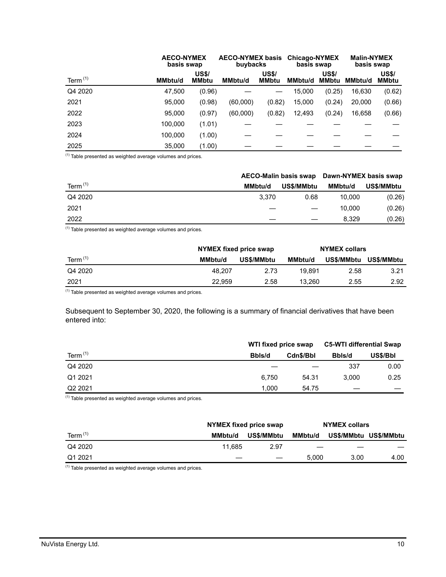|            | <b>AECO-NYMEX</b><br>basis swap |                              | <b>AECO-NYMEX basis</b><br>buybacks |                              | <b>Chicago-NYMEX</b><br>basis swap |                              | <b>Malin-NYMEX</b><br>basis swap |                       |
|------------|---------------------------------|------------------------------|-------------------------------------|------------------------------|------------------------------------|------------------------------|----------------------------------|-----------------------|
| Term $(1)$ | MMbtu/d                         | <b>US\$/</b><br><b>MMbtu</b> | <b>MMbtu/d</b>                      | <b>US\$/</b><br><b>MMbtu</b> | <b>MMbtu/d</b>                     | <b>US\$/</b><br><b>MMbtu</b> | <b>MMbtu/d</b>                   | <b>US\$/</b><br>MMbtu |
| Q4 2020    | 47.500                          | (0.96)                       |                                     |                              | 15.000                             | (0.25)                       | 16,630                           | (0.62)                |
| 2021       | 95,000                          | (0.98)                       | (60,000)                            | (0.82)                       | 15,000                             | (0.24)                       | 20,000                           | (0.66)                |
| 2022       | 95.000                          | (0.97)                       | (60,000)                            | (0.82)                       | 12,493                             | (0.24)                       | 16,658                           | (0.66)                |
| 2023       | 100,000                         | (1.01)                       |                                     |                              |                                    |                              |                                  |                       |
| 2024       | 100.000                         | (1.00)                       |                                     |                              |                                    |                              |                                  |                       |
| 2025       | 35,000                          | (1.00)                       |                                     |                              |                                    |                              |                                  |                       |

 $(1)$  Table presented as weighted average volumes and prices.

|            |         |            | AECO-Malin basis swap Dawn-NYMEX basis swap |            |
|------------|---------|------------|---------------------------------------------|------------|
| Term $(1)$ | MMbtu/d | US\$/MMbtu | MMbtu/d                                     | US\$/MMbtu |
| Q4 2020    | 3.370   | 0.68       | 10.000                                      | (0.26)     |
| 2021       |         |            | 10.000                                      | (0.26)     |
| 2022       |         |            | 8.329                                       | (0.26)     |

 $(1)$  Table presented as weighted average volumes and prices.

|            | NYMEX fixed price swap |            | <b>NYMEX collars</b> |                   |            |
|------------|------------------------|------------|----------------------|-------------------|------------|
| Term $(1)$ | MMbtu/d                | US\$/MMbtu | <b>MMbtu/d</b>       | <b>US\$/MMbtu</b> | US\$/MMbtu |
| Q4 2020    | 48.207                 | 2.73       | 19.891               | 2.58              | 3.21       |
| 2021       | 22.959                 | 2.58       | 13,260               | 2.55              | 2.92       |

 $<sup>(1)</sup>$  Table presented as weighted average volumes and prices.</sup>

Subsequent to September 30, 2020, the following is a summary of financial derivatives that have been entered into:

|                     | WTI fixed price swap |           | <b>C5-WTI differential Swap</b> |          |  |
|---------------------|----------------------|-----------|---------------------------------|----------|--|
| Term $(1)$          | Bbls/d               | Cdn\$/Bbl | Bbls/d                          | US\$/Bbl |  |
| Q4 2020             |                      |           | 337                             | 0.00     |  |
| Q1 2021             | 6.750                | 54.31     | 3.000                           | 0.25     |  |
| Q <sub>2</sub> 2021 | 1.000                | 54.75     | _                               |          |  |

 $<sup>(1)</sup>$  Table presented as weighted average volumes and prices.</sup>

|            |         | NYMEX fixed price swap |                   | <b>NYMEX collars</b> |                       |
|------------|---------|------------------------|-------------------|----------------------|-----------------------|
| Term $(1)$ | MMbtu/d | <b>US\$/MMbtu</b>      | <b>MMbtu/d</b>    |                      | US\$/MMbtu US\$/MMbtu |
| Q4 2020    | 11.685  | 2.97                   | $\hspace{0.05cm}$ | _                    |                       |
| Q1 2021    |         |                        | 5.000             | 3.00                 | 4.00                  |

 $<sup>(1)</sup>$  Table presented as weighted average volumes and prices.</sup>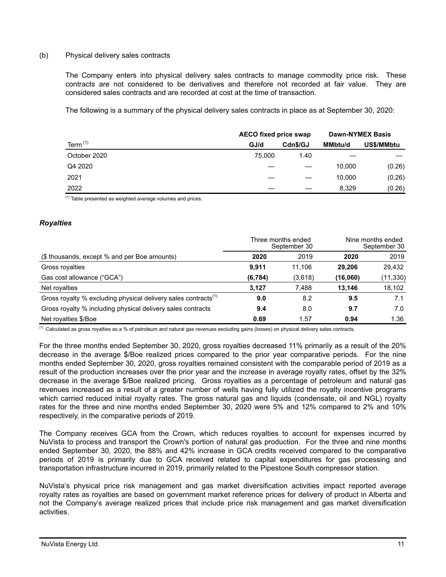## (b) Physical delivery sales contracts

The Company enters into physical delivery sales contracts to manage commodity price risk. These contracts are not considered to be derivatives and therefore not recorded at fair value. They are considered sales contracts and are recorded at cost at the time of transaction.

The following is a summary of the physical delivery sales contracts in place as at September 30, 2020:

|              | <b>AECO fixed price swap</b> |          |         | <b>Dawn-NYMEX Basis</b> |
|--------------|------------------------------|----------|---------|-------------------------|
| Term $(1)$   | GJ/d                         | Cdn\$/GJ | MMbtu/d | US\$/MMbtu              |
| October 2020 | 75,000                       | 1.40     |         |                         |
| Q4 2020      |                              |          | 10.000  | (0.26)                  |
| 2021         |                              |          | 10,000  | (0.26)                  |
| 2022         |                              |          | 8.329   | (0.26)                  |

 $<sup>(1)</sup>$  Table presented as weighted average volumes and prices.</sup>

## *Royalties*

|                                                                            | Three months ended<br>September 30 |         | Nine months ended<br>September 30 |           |
|----------------------------------------------------------------------------|------------------------------------|---------|-----------------------------------|-----------|
| (\$ thousands, except % and per Boe amounts)                               | 2020                               | 2019    | 2020                              | 2019      |
| Gross royalties                                                            | 9.911                              | 11.106  | 29.206                            | 29,432    |
| Gas cost allowance ("GCA")                                                 | (6, 784)                           | (3,618) | (16,060)                          | (11, 330) |
| Net royalties                                                              | 3.127                              | 7.488   | 13.146                            | 18,102    |
| Gross royalty % excluding physical delivery sales contracts <sup>(1)</sup> | 9.0                                | 8.2     | 9.5                               | 7.1       |
| Gross royalty % including physical delivery sales contracts                | 9.4                                | 8.0     | 9.7                               | 7.0       |
| Net royalties \$/Boe                                                       | 0.69                               | 1.57    | 0.94                              | 1.36      |

(1) Calculated as gross royalties as a % of petroleum and natural gas revenues excluding gains (losses) on physical delivery sales contracts.

For the three months ended September 30, 2020, gross royalties decreased 11% primarily as a result of the 20% decrease in the average \$/Boe realized prices compared to the prior year comparative periods. For the nine months ended September 30, 2020, gross royalties remained consistent with the comparable period of 2019 as a result of the production increases over the prior year and the increase in average royalty rates, offset by the 32% decrease in the average \$/Boe realized pricing. Gross royalties as a percentage of petroleum and natural gas revenues increased as a result of a greater number of wells having fully utilized the royalty incentive programs which carried reduced initial royalty rates. The gross natural gas and liquids (condensate, oil and NGL) royalty rates for the three and nine months ended September 30, 2020 were 5% and 12% compared to 2% and 10% respectively, in the comparative periods of 2019.

The Company receives GCA from the Crown, which reduces royalties to account for expenses incurred by NuVista to process and transport the Crown's portion of natural gas production. For the three and nine months ended September 30, 2020, the 88% and 42% increase in GCA credits received compared to the comparative periods of 2019 is primarily due to GCA received related to capital expenditures for gas processing and transportation infrastructure incurred in 2019, primarily related to the Pipestone South compressor station.

NuVista's physical price risk management and gas market diversification activities impact reported average royalty rates as royalties are based on government market reference prices for delivery of product in Alberta and not the Company's average realized prices that include price risk management and gas market diversification activities.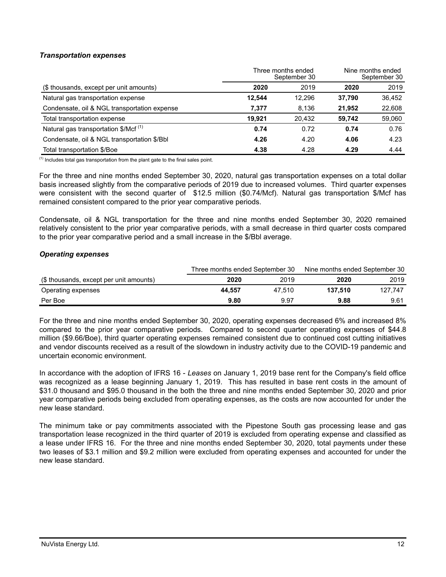## *Transportation expenses*

|                                                  | Three months ended<br>September 30 |        | Nine months ended<br>September 30 |        |
|--------------------------------------------------|------------------------------------|--------|-----------------------------------|--------|
| (\$ thousands, except per unit amounts)          | 2020                               | 2019   | 2020                              | 2019   |
| Natural gas transportation expense               | 12.544                             | 12.296 | 37.790                            | 36,452 |
| Condensate, oil & NGL transportation expense     | 7,377                              | 8.136  | 21.952                            | 22,608 |
| Total transportation expense                     | 19.921                             | 20.432 | 59.742                            | 59,060 |
| Natural gas transportation \$/Mcf <sup>(1)</sup> | 0.74                               | 0.72   | 0.74                              | 0.76   |
| Condensate, oil & NGL transportation \$/Bbl      | 4.26                               | 4.20   | 4.06                              | 4.23   |
| Total transportation \$/Boe                      | 4.38                               | 4.28   | 4.29                              | 4.44   |

 $<sup>(1)</sup>$  Includes total gas transportation from the plant gate to the final sales point.</sup>

For the three and nine months ended September 30, 2020, natural gas transportation expenses on a total dollar basis increased slightly from the comparative periods of 2019 due to increased volumes. Third quarter expenses were consistent with the second quarter of \$12.5 million (\$0.74/Mcf). Natural gas transportation \$/Mcf has remained consistent compared to the prior year comparative periods.

Condensate, oil & NGL transportation for the three and nine months ended September 30, 2020 remained relatively consistent to the prior year comparative periods, with a small decrease in third quarter costs compared to the prior year comparative period and a small increase in the \$/Bbl average.

## *Operating expenses*

|                                         | Three months ended September 30 |        | Nine months ended September 30 |         |  |
|-----------------------------------------|---------------------------------|--------|--------------------------------|---------|--|
| (\$ thousands, except per unit amounts) | 2020                            | 2019   | 2020                           | 2019    |  |
| Operating expenses                      | 44.557                          | 47.510 | 137.510                        | 127.747 |  |
| Per Boe                                 | 9.80                            | 9.97   | 9.88                           | 9.61    |  |

For the three and nine months ended September 30, 2020, operating expenses decreased 6% and increased 8% compared to the prior year comparative periods. Compared to second quarter operating expenses of \$44.8 million (\$9.66/Boe), third quarter operating expenses remained consistent due to continued cost cutting initiatives and vendor discounts received as a result of the slowdown in industry activity due to the COVID-19 pandemic and uncertain economic environment.

In accordance with the adoption of IFRS 16 - *Leases* on January 1, 2019 base rent for the Company's field office was recognized as a lease beginning January 1, 2019. This has resulted in base rent costs in the amount of \$31.0 thousand and \$95.0 thousand in the both the three and nine months ended September 30, 2020 and prior year comparative periods being excluded from operating expenses, as the costs are now accounted for under the new lease standard.

The minimum take or pay commitments associated with the Pipestone South gas processing lease and gas transportation lease recognized in the third quarter of 2019 is excluded from operating expense and classified as a lease under IFRS 16. For the three and nine months ended September 30, 2020, total payments under these two leases of \$3.1 million and \$9.2 million were excluded from operating expenses and accounted for under the new lease standard.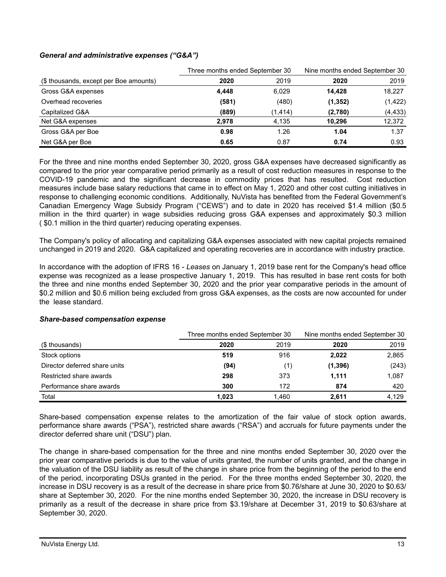## *General and administrative expenses ("G&A")*

|                                        | Three months ended September 30 |          | Nine months ended September 30 |          |
|----------------------------------------|---------------------------------|----------|--------------------------------|----------|
| (\$ thousands, except per Boe amounts) | 2020                            | 2019     | 2020                           | 2019     |
| Gross G&A expenses                     | 4.448                           | 6.029    | 14.428                         | 18,227   |
| Overhead recoveries                    | (581)                           | (480)    | (1, 352)                       | (1, 422) |
| Capitalized G&A                        | (889)                           | (1, 414) | (2,780)                        | (4, 433) |
| Net G&A expenses                       | 2.978                           | 4.135    | 10.296                         | 12,372   |
| Gross G&A per Boe                      | 0.98                            | 1.26     | 1.04                           | 1.37     |
| Net G&A per Boe                        | 0.65                            | 0.87     | 0.74                           | 0.93     |

For the three and nine months ended September 30, 2020, gross G&A expenses have decreased significantly as compared to the prior year comparative period primarily as a result of cost reduction measures in response to the COVID-19 pandemic and the significant decrease in commodity prices that has resulted. Cost reduction measures include base salary reductions that came in to effect on May 1, 2020 and other cost cutting initiatives in response to challenging economic conditions. Additionally, NuVista has benefited from the Federal Government's Canadian Emergency Wage Subsidy Program ("CEWS") and to date in 2020 has received \$1.4 million (\$0.5 million in the third quarter) in wage subsidies reducing gross G&A expenses and approximately \$0.3 million ( \$0.1 million in the third quarter) reducing operating expenses.

The Company's policy of allocating and capitalizing G&A expenses associated with new capital projects remained unchanged in 2019 and 2020. G&A capitalized and operating recoveries are in accordance with industry practice.

In accordance with the adoption of IFRS 16 - *Leases* on January 1, 2019 base rent for the Company's head office expense was recognized as a lease prospective January 1, 2019. This has resulted in base rent costs for both the three and nine months ended September 30, 2020 and the prior year comparative periods in the amount of \$0.2 million and \$0.6 million being excluded from gross G&A expenses, as the costs are now accounted for under the lease standard.

|                               |       | Three months ended September 30 |          | Nine months ended September 30 |  |
|-------------------------------|-------|---------------------------------|----------|--------------------------------|--|
| (\$ thousands)                | 2020  | 2019                            | 2020     | 2019                           |  |
| Stock options                 | 519   | 916                             | 2,022    | 2,865                          |  |
| Director deferred share units | (94)  | (1)                             | (1, 396) | (243)                          |  |
| Restricted share awards       | 298   | 373                             | 1.111    | 1.087                          |  |
| Performance share awards      | 300   | 172                             | 874      | 420                            |  |
| Total                         | 1.023 | 1.460                           | 2.611    | 4.129                          |  |

#### *Share-based compensation expense*

Share-based compensation expense relates to the amortization of the fair value of stock option awards, performance share awards ("PSA"), restricted share awards ("RSA") and accruals for future payments under the director deferred share unit ("DSU") plan.

The change in share-based compensation for the three and nine months ended September 30, 2020 over the prior year comparative periods is due to the value of units granted, the number of units granted, and the change in the valuation of the DSU liability as result of the change in share price from the beginning of the period to the end of the period, incorporating DSUs granted in the period. For the three months ended September 30, 2020, the increase in DSU recovery is as a result of the decrease in share price from \$0.76/share at June 30, 2020 to \$0.63/ share at September 30, 2020. For the nine months ended September 30, 2020, the increase in DSU recovery is primarily as a result of the decrease in share price from \$3.19/share at December 31, 2019 to \$0.63/share at September 30, 2020.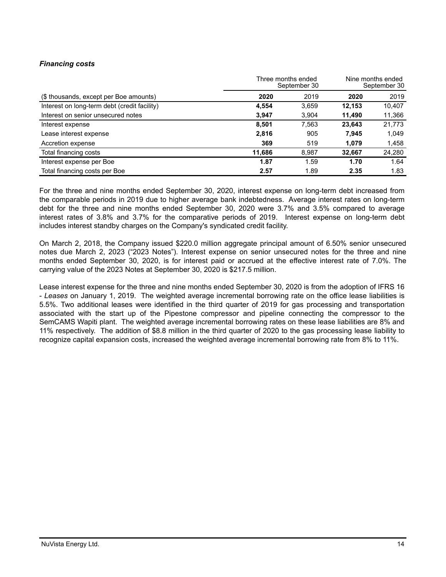# *Financing costs*

|                                              | Three months ended<br>September 30 |       | Nine months ended<br>September 30 |        |
|----------------------------------------------|------------------------------------|-------|-----------------------------------|--------|
| (\$ thousands, except per Boe amounts)       | 2020                               | 2019  | 2020                              | 2019   |
| Interest on long-term debt (credit facility) | 4,554                              | 3,659 | 12,153                            | 10,407 |
| Interest on senior unsecured notes           | 3,947                              | 3,904 | 11,490                            | 11,366 |
| Interest expense                             | 8,501                              | 7,563 | 23.643                            | 21,773 |
| Lease interest expense                       | 2,816                              | 905   | 7,945                             | 1,049  |
| Accretion expense                            | 369                                | 519   | 1,079                             | 1,458  |
| Total financing costs                        | 11,686                             | 8,987 | 32,667                            | 24,280 |
| Interest expense per Boe                     | 1.87                               | 1.59  | 1.70                              | 1.64   |
| Total financing costs per Boe                | 2.57                               | 1.89  | 2.35                              | 1.83   |

For the three and nine months ended September 30, 2020, interest expense on long-term debt increased from the comparable periods in 2019 due to higher average bank indebtedness. Average interest rates on long-term debt for the three and nine months ended September 30, 2020 were 3.7% and 3.5% compared to average interest rates of 3.8% and 3.7% for the comparative periods of 2019. Interest expense on long-term debt includes interest standby charges on the Company's syndicated credit facility.

On March 2, 2018, the Company issued \$220.0 million aggregate principal amount of 6.50% senior unsecured notes due March 2, 2023 ("2023 Notes"). Interest expense on senior unsecured notes for the three and nine months ended September 30, 2020, is for interest paid or accrued at the effective interest rate of 7.0%. The carrying value of the 2023 Notes at September 30, 2020 is \$217.5 million.

Lease interest expense for the three and nine months ended September 30, 2020 is from the adoption of IFRS 16 - *Leases* on January 1, 2019. The weighted average incremental borrowing rate on the office lease liabilities is 5.5%. Two additional leases were identified in the third quarter of 2019 for gas processing and transportation associated with the start up of the Pipestone compressor and pipeline connecting the compressor to the SemCAMS Wapiti plant. The weighted average incremental borrowing rates on these lease liabilities are 8% and 11% respectively. The addition of \$8.8 million in the third quarter of 2020 to the gas processing lease liability to recognize capital expansion costs, increased the weighted average incremental borrowing rate from 8% to 11%.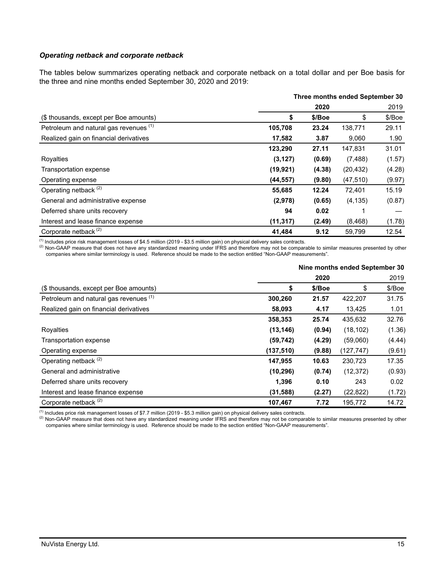## *Operating netback and corporate netback*

The tables below summarizes operating netback and corporate netback on a total dollar and per Boe basis for the three and nine months ended September 30, 2020 and 2019:

|                                        | Three months ended September 30 |        |           |        |
|----------------------------------------|---------------------------------|--------|-----------|--------|
|                                        |                                 | 2020   |           | 2019   |
| (\$ thousands, except per Boe amounts) | \$                              | \$/Boe | \$        | \$/Boe |
| Petroleum and natural gas revenues (1) | 105,708                         | 23.24  | 138,771   | 29.11  |
| Realized gain on financial derivatives | 17,582                          | 3.87   | 9,060     | 1.90   |
|                                        | 123,290                         | 27.11  | 147,831   | 31.01  |
| Royalties                              | (3, 127)                        | (0.69) | (7, 488)  | (1.57) |
| Transportation expense                 | (19, 921)                       | (4.38) | (20, 432) | (4.28) |
| Operating expense                      | (44, 557)                       | (9.80) | (47, 510) | (9.97) |
| Operating netback <sup>(2)</sup>       | 55,685                          | 12.24  | 72,401    | 15.19  |
| General and administrative expense     | (2,978)                         | (0.65) | (4, 135)  | (0.87) |
| Deferred share units recovery          | 94                              | 0.02   |           |        |
| Interest and lease finance expense     | (11, 317)                       | (2.49) | (8, 468)  | (1.78) |
| Corporate netback <sup>(2)</sup>       | 41,484                          | 9.12   | 59,799    | 12.54  |

(1) Includes price risk management losses of \$4.5 million (2019 - \$3.5 million gain) on physical delivery sales contracts.

(2) Non-GAAP measure that does not have any standardized meaning under IFRS and therefore may not be comparable to similar measures presented by other companies where similar terminology is used. Reference should be made to the section entitled "Non-GAAP measurements".

|                                        | Nine months ended September 30 |        |            |        |  |
|----------------------------------------|--------------------------------|--------|------------|--------|--|
|                                        |                                | 2020   |            | 2019   |  |
| (\$ thousands, except per Boe amounts) | \$                             | \$/Boe | \$         | \$/Boe |  |
| Petroleum and natural gas revenues (1) | 300,260                        | 21.57  | 422,207    | 31.75  |  |
| Realized gain on financial derivatives | 58,093                         | 4.17   | 13.425     | 1.01   |  |
|                                        | 358,353                        | 25.74  | 435,632    | 32.76  |  |
| Royalties                              | (13, 146)                      | (0.94) | (18, 102)  | (1.36) |  |
| Transportation expense                 | (59, 742)                      | (4.29) | (59,060)   | (4.44) |  |
| Operating expense                      | (137, 510)                     | (9.88) | (127, 747) | (9.61) |  |
| Operating netback <sup>(2)</sup>       | 147,955                        | 10.63  | 230,723    | 17.35  |  |
| General and administrative             | (10, 296)                      | (0.74) | (12, 372)  | (0.93) |  |
| Deferred share units recovery          | 1,396                          | 0.10   | 243        | 0.02   |  |
| Interest and lease finance expense     | (31, 588)                      | (2.27) | (22, 822)  | (1.72) |  |
| Corporate netback <sup>(2)</sup>       | 107,467                        | 7.72   | 195,772    | 14.72  |  |

(1) Includes price risk management losses of \$7.7 million (2019 - \$5.3 million gain) on physical delivery sales contracts.

(2) Non-GAAP measure that does not have any standardized meaning under IFRS and therefore may not be comparable to similar measures presented by other companies where similar terminology is used. Reference should be made to the section entitled "Non-GAAP measurements".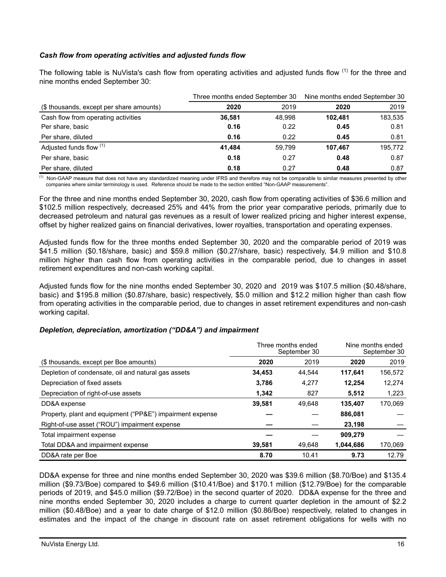# *Cash flow from operating activities and adjusted funds flow*

The following table is NuVista's cash flow from operating activities and adjusted funds flow  $(1)$  for the three and nine months ended September 30:

|                                          | Three months ended September 30 |        | Nine months ended September 30 |         |  |
|------------------------------------------|---------------------------------|--------|--------------------------------|---------|--|
| (\$ thousands, except per share amounts) | 2020                            | 2019   | 2020                           | 2019    |  |
| Cash flow from operating activities      | 36.581                          | 48.998 | 102.481                        | 183,535 |  |
| Per share, basic                         | 0.16                            | 0.22   | 0.45                           | 0.81    |  |
| Per share, diluted                       | 0.16                            | 0.22   | 0.45                           | 0.81    |  |
| Adjusted funds flow (1)                  | 41.484                          | 59.799 | 107.467                        | 195,772 |  |
| Per share, basic                         | 0.18                            | 0.27   | 0.48                           | 0.87    |  |
| Per share, diluted                       | 0.18                            | 0.27   | 0.48                           | 0.87    |  |

<sup>(1)</sup> Non-GAAP measure that does not have any standardized meaning under IFRS and therefore may not be comparable to similar measures presented by other companies where similar terminology is used. Reference should be made to the section entitled "Non-GAAP measurements".

For the three and nine months ended September 30, 2020, cash flow from operating activities of \$36.6 million and \$102.5 million respectively, decreased 25% and 44% from the prior year comparative periods, primarily due to decreased petroleum and natural gas revenues as a result of lower realized pricing and higher interest expense, offset by higher realized gains on financial derivatives, lower royalties, transportation and operating expenses.

Adjusted funds flow for the three months ended September 30, 2020 and the comparable period of 2019 was \$41.5 million (\$0.18/share, basic) and \$59.8 million (\$0.27/share, basic) respectively, \$4.9 million and \$10.8 million higher than cash flow from operating activities in the comparable period, due to changes in asset retirement expenditures and non-cash working capital.

Adjusted funds flow for the nine months ended September 30, 2020 and 2019 was \$107.5 million (\$0.48/share, basic) and \$195.8 million (\$0.87/share, basic) respectively, \$5.0 million and \$12.2 million higher than cash flow from operating activities in the comparable period, due to changes in asset retirement expenditures and non-cash working capital.

## *Depletion, depreciation, amortization ("DD&A") and impairment*

|                                                           |        | Three months ended<br>September 30 | Nine months ended<br>September 30 |         |
|-----------------------------------------------------------|--------|------------------------------------|-----------------------------------|---------|
| (\$ thousands, except per Boe amounts)                    | 2020   | 2019                               | 2020                              | 2019    |
| Depletion of condensate, oil and natural gas assets       | 34,453 | 44.544                             | 117,641                           | 156,572 |
| Depreciation of fixed assets                              | 3,786  | 4,277                              | 12.254                            | 12,274  |
| Depreciation of right-of-use assets                       | 1,342  | 827                                | 5,512                             | 1,223   |
| DD&A expense                                              | 39.581 | 49.648                             | 135.407                           | 170.069 |
| Property, plant and equipment ("PP&E") impairment expense |        |                                    | 886,081                           |         |
| Right-of-use asset ("ROU") impairment expense             |        |                                    | 23,198                            |         |
| Total impairment expense                                  |        |                                    | 909,279                           |         |
| Total DD&A and impairment expense                         | 39,581 | 49.648                             | 1,044,686                         | 170,069 |
| DD&A rate per Boe                                         | 8.70   | 10.41                              | 9.73                              | 12.79   |

DD&A expense for three and nine months ended September 30, 2020 was \$39.6 million (\$8.70/Boe) and \$135.4 million (\$9.73/Boe) compared to \$49.6 million (\$10.41/Boe) and \$170.1 million (\$12.79/Boe) for the comparable periods of 2019, and \$45.0 million (\$9.72/Boe) in the second quarter of 2020. DD&A expense for the three and nine months ended September 30, 2020 includes a charge to current quarter depletion in the amount of \$2.2 million (\$0.48/Boe) and a year to date charge of \$12.0 million (\$0.86/Boe) respectively, related to changes in estimates and the impact of the change in discount rate on asset retirement obligations for wells with no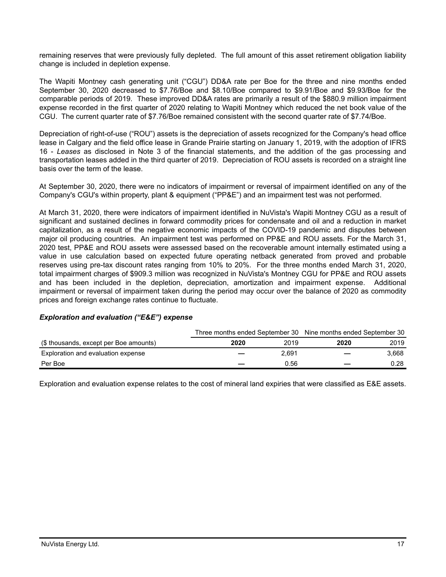remaining reserves that were previously fully depleted. The full amount of this asset retirement obligation liability change is included in depletion expense.

The Wapiti Montney cash generating unit ("CGU") DD&A rate per Boe for the three and nine months ended September 30, 2020 decreased to \$7.76/Boe and \$8.10/Boe compared to \$9.91/Boe and \$9.93/Boe for the comparable periods of 2019. These improved DD&A rates are primarily a result of the \$880.9 million impairment expense recorded in the first quarter of 2020 relating to Wapiti Montney which reduced the net book value of the CGU. The current quarter rate of \$7.76/Boe remained consistent with the second quarter rate of \$7.74/Boe.

Depreciation of right-of-use ("ROU") assets is the depreciation of assets recognized for the Company's head office lease in Calgary and the field office lease in Grande Prairie starting on January 1, 2019, with the adoption of IFRS 16 - *Leases* as disclosed in Note 3 of the financial statements, and the addition of the gas processing and transportation leases added in the third quarter of 2019. Depreciation of ROU assets is recorded on a straight line basis over the term of the lease.

At September 30, 2020, there were no indicators of impairment or reversal of impairment identified on any of the Company's CGU's within property, plant & equipment ("PP&E") and an impairment test was not performed.

At March 31, 2020, there were indicators of impairment identified in NuVista's Wapiti Montney CGU as a result of significant and sustained declines in forward commodity prices for condensate and oil and a reduction in market capitalization, as a result of the negative economic impacts of the COVID-19 pandemic and disputes between major oil producing countries. An impairment test was performed on PP&E and ROU assets. For the March 31, 2020 test, PP&E and ROU assets were assessed based on the recoverable amount internally estimated using a value in use calculation based on expected future operating netback generated from proved and probable reserves using pre-tax discount rates ranging from 10% to 20%. For the three months ended March 31, 2020, total impairment charges of \$909.3 million was recognized in NuVista's Montney CGU for PP&E and ROU assets and has been included in the depletion, depreciation, amortization and impairment expense. Additional impairment or reversal of impairment taken during the period may occur over the balance of 2020 as commodity prices and foreign exchange rates continue to fluctuate.

#### *Exploration and evaluation ("E&E") expense*

|                                        |              | Three months ended September 30 Nine months ended September 30 |  |  |
|----------------------------------------|--------------|----------------------------------------------------------------|--|--|
| (\$ thousands, except per Boe amounts) | 2019<br>2020 | 2019<br>2020                                                   |  |  |
| Exploration and evaluation expense     | 2.691        | 3.668                                                          |  |  |
| Per Boe                                | 0.56         | 0.28                                                           |  |  |

Exploration and evaluation expense relates to the cost of mineral land expiries that were classified as E&E assets.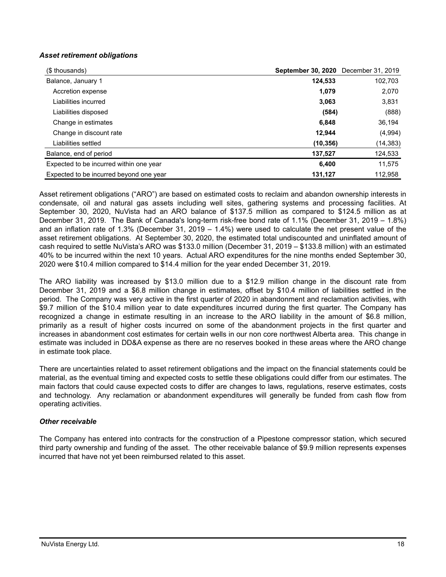# *Asset retirement obligations*

| (\$ thousands)                          | September 30, 2020 December 31, 2019 |           |
|-----------------------------------------|--------------------------------------|-----------|
| Balance, January 1                      | 124,533                              | 102,703   |
| Accretion expense                       | 1,079                                | 2,070     |
| Liabilities incurred                    | 3,063                                | 3,831     |
| Liabilities disposed                    | (584)                                | (888)     |
| Change in estimates                     | 6,848                                | 36,194    |
| Change in discount rate                 | 12,944                               | (4,994)   |
| Liabilities settled                     | (10, 356)                            | (14, 383) |
| Balance, end of period                  | 137,527                              | 124,533   |
| Expected to be incurred within one year | 6,400                                | 11,575    |
| Expected to be incurred beyond one year | 131,127                              | 112,958   |

Asset retirement obligations ("ARO") are based on estimated costs to reclaim and abandon ownership interests in condensate, oil and natural gas assets including well sites, gathering systems and processing facilities. At September 30, 2020, NuVista had an ARO balance of \$137.5 million as compared to \$124.5 million as at December 31, 2019. The Bank of Canada's long-term risk-free bond rate of 1.1% (December 31, 2019 – 1.8%) and an inflation rate of 1.3% (December 31, 2019 – 1.4%) were used to calculate the net present value of the asset retirement obligations. At September 30, 2020, the estimated total undiscounted and uninflated amount of cash required to settle NuVista's ARO was \$133.0 million (December 31, 2019 – \$133.8 million) with an estimated 40% to be incurred within the next 10 years. Actual ARO expenditures for the nine months ended September 30, 2020 were \$10.4 million compared to \$14.4 million for the year ended December 31, 2019.

The ARO liability was increased by \$13.0 million due to a \$12.9 million change in the discount rate from December 31, 2019 and a \$6.8 million change in estimates, offset by \$10.4 million of liabilities settled in the period. The Company was very active in the first quarter of 2020 in abandonment and reclamation activities, with \$9.7 million of the \$10.4 million year to date expenditures incurred during the first quarter. The Company has recognized a change in estimate resulting in an increase to the ARO liability in the amount of \$6.8 million, primarily as a result of higher costs incurred on some of the abandonment projects in the first quarter and increases in abandonment cost estimates for certain wells in our non core northwest Alberta area. This change in estimate was included in DD&A expense as there are no reserves booked in these areas where the ARO change in estimate took place.

There are uncertainties related to asset retirement obligations and the impact on the financial statements could be material, as the eventual timing and expected costs to settle these obligations could differ from our estimates. The main factors that could cause expected costs to differ are changes to laws, regulations, reserve estimates, costs and technology. Any reclamation or abandonment expenditures will generally be funded from cash flow from operating activities.

## *Other receivable*

The Company has entered into contracts for the construction of a Pipestone compressor station, which secured third party ownership and funding of the asset. The other receivable balance of \$9.9 million represents expenses incurred that have not yet been reimbursed related to this asset.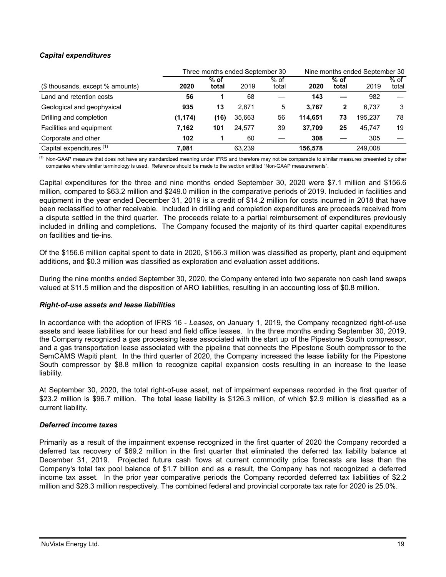# *Capital expenditures*

|                                     | Three months ended September 30 |                 |        |                 | Nine months ended September 30 |                 |         |                 |
|-------------------------------------|---------------------------------|-----------------|--------|-----------------|--------------------------------|-----------------|---------|-----------------|
| (\$ thousands, except % amounts)    | 2020                            | $%$ of<br>total | 2019   | $%$ of<br>total | 2020                           | $%$ of<br>total | 2019    | $%$ of<br>total |
| Land and retention costs            | 56                              |                 | 68     |                 | 143                            |                 | 982     |                 |
| Geological and geophysical          | 935                             | 13              | 2.871  | 5               | 3.767                          | 2               | 6.737   | 3               |
| Drilling and completion             | (1, 174)                        | (16)            | 35,663 | 56              | 114.651                        | 73              | 195.237 | 78              |
| Facilities and equipment            | 7.162                           | 101             | 24.577 | 39              | 37.709                         | 25              | 45.747  | 19              |
| Corporate and other                 | 102                             |                 | 60     |                 | 308                            |                 | 305     |                 |
| Capital expenditures <sup>(1)</sup> | 7.081                           |                 | 63.239 |                 | 156,578                        |                 | 249.008 |                 |

<sup>(1)</sup> Non-GAAP measure that does not have any standardized meaning under IFRS and therefore may not be comparable to similar measures presented by other companies where similar terminology is used. Reference should be made to the section entitled "Non-GAAP measurements".

Capital expenditures for the three and nine months ended September 30, 2020 were \$7.1 million and \$156.6 million, compared to \$63.2 million and \$249.0 million in the comparative periods of 2019. Included in facilities and equipment in the year ended December 31, 2019 is a credit of \$14.2 million for costs incurred in 2018 that have been reclassified to other receivable. Included in drilling and completion expenditures are proceeds received from a dispute settled in the third quarter. The proceeds relate to a partial reimbursement of expenditures previously included in drilling and completions. The Company focused the majority of its third quarter capital expenditures on facilities and tie-ins.

Of the \$156.6 million capital spent to date in 2020, \$156.3 million was classified as property, plant and equipment additions, and \$0.3 million was classified as exploration and evaluation asset additions.

During the nine months ended September 30, 2020, the Company entered into two separate non cash land swaps valued at \$11.5 million and the disposition of ARO liabilities, resulting in an accounting loss of \$0.8 million.

#### *Right-of-use assets and lease liabilities*

In accordance with the adoption of IFRS 16 - *Leases*, on January 1, 2019, the Company recognized right-of-use assets and lease liabilities for our head and field office leases. In the three months ending September 30, 2019, the Company recognized a gas processing lease associated with the start up of the Pipestone South compressor, and a gas transportation lease associated with the pipeline that connects the Pipestone South compressor to the SemCAMS Wapiti plant. In the third quarter of 2020, the Company increased the lease liability for the Pipestone South compressor by \$8.8 million to recognize capital expansion costs resulting in an increase to the lease liability.

At September 30, 2020, the total right-of-use asset, net of impairment expenses recorded in the first quarter of \$23.2 million is \$96.7 million. The total lease liability is \$126.3 million, of which \$2.9 million is classified as a current liability.

#### *Deferred income taxes*

Primarily as a result of the impairment expense recognized in the first quarter of 2020 the Company recorded a deferred tax recovery of \$69.2 million in the first quarter that eliminated the deferred tax liability balance at December 31, 2019. Projected future cash flows at current commodity price forecasts are less than the Company's total tax pool balance of \$1.7 billion and as a result, the Company has not recognized a deferred income tax asset. In the prior year comparative periods the Company recorded deferred tax liabilities of \$2.2 million and \$28.3 million respectively. The combined federal and provincial corporate tax rate for 2020 is 25.0%.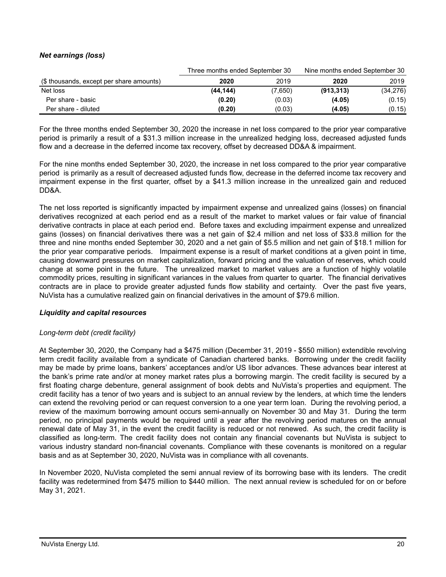# *Net earnings (loss)*

|                                          | Three months ended September 30 |         | Nine months ended September 30 |           |  |
|------------------------------------------|---------------------------------|---------|--------------------------------|-----------|--|
| (\$ thousands, except per share amounts) | 2020                            | 2019    | 2020                           | 2019      |  |
| Net loss                                 | (44, 144)                       | (7,650) | (913, 313)                     | (34, 276) |  |
| Per share - basic                        | (0.20)                          | (0.03)  | (4.05)                         | (0.15)    |  |
| Per share - diluted                      | (0.20)                          | (0.03)  | (4.05)                         | (0.15)    |  |

For the three months ended September 30, 2020 the increase in net loss compared to the prior year comparative period is primarily a result of a \$31.3 million increase in the unrealized hedging loss, decreased adjusted funds flow and a decrease in the deferred income tax recovery, offset by decreased DD&A & impairment.

For the nine months ended September 30, 2020, the increase in net loss compared to the prior year comparative period is primarily as a result of decreased adjusted funds flow, decrease in the deferred income tax recovery and impairment expense in the first quarter, offset by a \$41.3 million increase in the unrealized gain and reduced DD&A.

The net loss reported is significantly impacted by impairment expense and unrealized gains (losses) on financial derivatives recognized at each period end as a result of the market to market values or fair value of financial derivative contracts in place at each period end. Before taxes and excluding impairment expense and unrealized gains (losses) on financial derivatives there was a net gain of \$2.4 million and net loss of \$33.8 million for the three and nine months ended September 30, 2020 and a net gain of \$5.5 million and net gain of \$18.1 million for the prior year comparative periods. Impairment expense is a result of market conditions at a given point in time, causing downward pressures on market capitalization, forward pricing and the valuation of reserves, which could change at some point in the future. The unrealized market to market values are a function of highly volatile commodity prices, resulting in significant variances in the values from quarter to quarter. The financial derivatives contracts are in place to provide greater adjusted funds flow stability and certainty. Over the past five years, NuVista has a cumulative realized gain on financial derivatives in the amount of \$79.6 million.

## *Liquidity and capital resources*

## *Long-term debt (credit facility)*

At September 30, 2020, the Company had a \$475 million (December 31, 2019 - \$550 million) extendible revolving term credit facility available from a syndicate of Canadian chartered banks. Borrowing under the credit facility may be made by prime loans, bankers' acceptances and/or US libor advances. These advances bear interest at the bank's prime rate and/or at money market rates plus a borrowing margin. The credit facility is secured by a first floating charge debenture, general assignment of book debts and NuVista's properties and equipment. The credit facility has a tenor of two years and is subject to an annual review by the lenders, at which time the lenders can extend the revolving period or can request conversion to a one year term loan. During the revolving period, a review of the maximum borrowing amount occurs semi-annually on November 30 and May 31. During the term period, no principal payments would be required until a year after the revolving period matures on the annual renewal date of May 31, in the event the credit facility is reduced or not renewed. As such, the credit facility is classified as long-term. The credit facility does not contain any financial covenants but NuVista is subject to various industry standard non-financial covenants. Compliance with these covenants is monitored on a regular basis and as at September 30, 2020, NuVista was in compliance with all covenants.

In November 2020, NuVista completed the semi annual review of its borrowing base with its lenders. The credit facility was redetermined from \$475 million to \$440 million. The next annual review is scheduled for on or before May 31, 2021.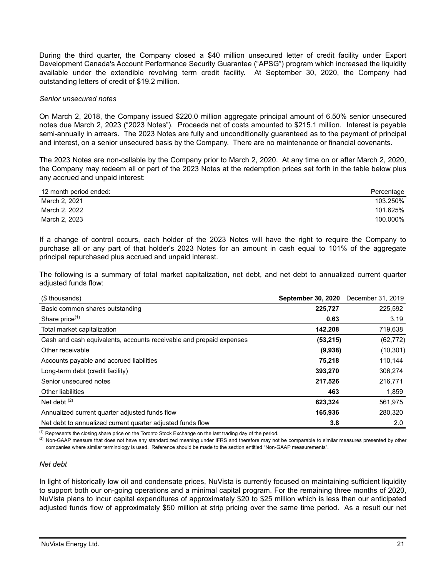During the third quarter, the Company closed a \$40 million unsecured letter of credit facility under Export Development Canada's Account Performance Security Guarantee ("APSG") program which increased the liquidity available under the extendible revolving term credit facility. At September 30, 2020, the Company had outstanding letters of credit of \$19.2 million.

#### *Senior unsecured notes*

On March 2, 2018, the Company issued \$220.0 million aggregate principal amount of 6.50% senior unsecured notes due March 2, 2023 ("2023 Notes"). Proceeds net of costs amounted to \$215.1 million. Interest is payable semi-annually in arrears. The 2023 Notes are fully and unconditionally guaranteed as to the payment of principal and interest, on a senior unsecured basis by the Company. There are no maintenance or financial covenants.

The 2023 Notes are non-callable by the Company prior to March 2, 2020. At any time on or after March 2, 2020, the Company may redeem all or part of the 2023 Notes at the redemption prices set forth in the table below plus any accrued and unpaid interest:

| 12 month period ended: | Percentage |
|------------------------|------------|
| March 2, 2021          | 103.250%   |
| March 2, 2022          | 101.625%   |
| March 2, 2023          | 100.000%   |

If a change of control occurs, each holder of the 2023 Notes will have the right to require the Company to purchase all or any part of that holder's 2023 Notes for an amount in cash equal to 101% of the aggregate principal repurchased plus accrued and unpaid interest.

The following is a summary of total market capitalization, net debt, and net debt to annualized current quarter adjusted funds flow:

| (\$ thousands)                                                      | <b>September 30, 2020</b> | December 31, 2019 |
|---------------------------------------------------------------------|---------------------------|-------------------|
| Basic common shares outstanding                                     | 225,727                   | 225,592           |
| Share price <sup>(1)</sup>                                          | 0.63                      | 3.19              |
| Total market capitalization                                         | 142,208                   | 719,638           |
| Cash and cash equivalents, accounts receivable and prepaid expenses | (53,215)                  | (62, 772)         |
| Other receivable                                                    | (9,938)                   | (10, 301)         |
| Accounts payable and accrued liabilities                            | 75,218                    | 110,144           |
| Long-term debt (credit facility)                                    | 393,270                   | 306,274           |
| Senior unsecured notes                                              | 217,526                   | 216,771           |
| <b>Other liabilities</b>                                            | 463                       | 1,859             |
| Net debt $(2)$                                                      | 623,324                   | 561,975           |
| Annualized current quarter adjusted funds flow                      | 165,936                   | 280,320           |
| Net debt to annualized current quarter adjusted funds flow          | 3.8                       | 2.0               |

(1) Represents the closing share price on the Toronto Stock Exchange on the last trading day of the period.

<sup>(2)</sup> Non-GAAP measure that does not have any standardized meaning under IFRS and therefore may not be comparable to similar measures presented by other companies where similar terminology is used. Reference should be made to the section entitled "Non-GAAP measurements".

#### *Net debt*

In light of historically low oil and condensate prices, NuVista is currently focused on maintaining sufficient liquidity to support both our on-going operations and a minimal capital program. For the remaining three months of 2020, NuVista plans to incur capital expenditures of approximately \$20 to \$25 million which is less than our anticipated adjusted funds flow of approximately \$50 million at strip pricing over the same time period. As a result our net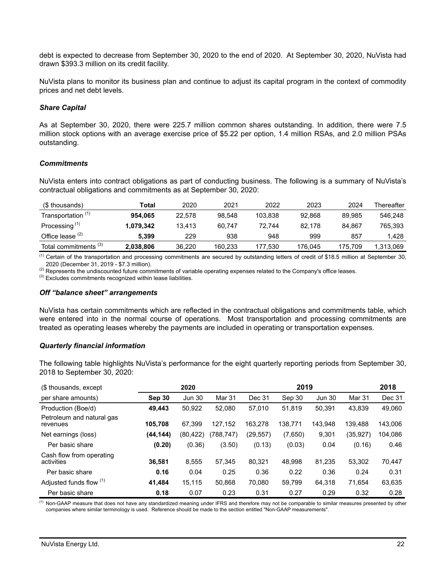debt is expected to decrease from September 30, 2020 to the end of 2020. At September 30, 2020, NuVista had drawn \$393.3 million on its credit facility.

NuVista plans to monitor its business plan and continue to adjust its capital program in the context of commodity prices and net debt levels.

#### *Share Capital*

As at September 30, 2020, there were 225.7 million common shares outstanding. In addition, there were 7.5 million stock options with an average exercise price of \$5.22 per option, 1.4 million RSAs, and 2.0 million PSAs outstanding.

## *Commitments*

NuVista enters into contract obligations as part of conducting business. The following is a summary of NuVista's contractual obligations and commitments as at September 30, 2020:

| (\$ thousands)                   | Total     | 2020   | 2021    | 2022    | 2023    | 2024    | Thereafter |
|----------------------------------|-----------|--------|---------|---------|---------|---------|------------|
| Transportation <sup>(1)</sup>    | 954.065   | 22.578 | 98.548  | 103.838 | 92.868  | 89.985  | 546.248    |
| Processing $(1)$                 | 1.079.342 | 13.413 | 60.747  | 72.744  | 82.178  | 84.867  | 765.393    |
| Office lease $(2)$               | 5.399     | 229    | 938     | 948     | 999     | 857     | 1.428      |
| Total commitments <sup>(3)</sup> | 2,038,806 | 36.220 | 160.233 | 177.530 | 176.045 | 175.709 | 1.313.069  |

 $<sup>(1)</sup>$  Certain of the transportation and processing commitments are secured by outstanding letters of credit of \$18.5 million at September 30,</sup> 2020 (December 31, 2019 - \$7.3 million).

<sup>(2)</sup> Represents the undiscounted future commitments of variable operating expenses related to the Company's office leases.

 $(3)$  Excludes commitments recognized within lease liabilities.

#### *Off "balance sheet" arrangements*

NuVista has certain commitments which are reflected in the contractual obligations and commitments table, which were entered into in the normal course of operations. Most transportation and processing commitments are treated as operating leases whereby the payments are included in operating or transportation expenses.

#### *Quarterly financial information*

The following table highlights NuVista's performance for the eight quarterly reporting periods from September 30, 2018 to September 30, 2020:

| (\$ thousands, except                  |          | 2020          |            |          | 2019    |               |           | 2018    |
|----------------------------------------|----------|---------------|------------|----------|---------|---------------|-----------|---------|
| per share amounts)                     | Sep 30   | <b>Jun 30</b> | Mar 31     | Dec 31   | Sep 30  | <b>Jun 30</b> | Mar 31    | Dec 31  |
| Production (Boe/d)                     | 49.443   | 50,922        | 52.080     | 57.010   | 51.819  | 50.391        | 43,839    | 49,060  |
| Petroleum and natural gas<br>revenues  | 105,708  | 67.399        | 127.152    | 163,278  | 138,771 | 143.948       | 139.488   | 143,006 |
| Net earnings (loss)                    | (44,144) | (80, 422)     | (788, 747) | (29,557) | (7,650) | 9,301         | (35, 927) | 104,086 |
| Per basic share                        | (0.20)   | (0.36)        | (3.50)     | (0.13)   | (0.03)  | 0.04          | (0.16)    | 0.46    |
| Cash flow from operating<br>activities | 36.581   | 8.555         | 57.345     | 80.321   | 48.998  | 81.235        | 53.302    | 70,447  |
| Per basic share                        | 0.16     | 0.04          | 0.25       | 0.36     | 0.22    | 0.36          | 0.24      | 0.31    |
| Adjusted funds flow (1)                | 41,484   | 15,115        | 50.868     | 70.080   | 59,799  | 64.318        | 71.654    | 63,635  |
| Per basic share                        | 0.18     | 0.07          | 0.23       | 0.31     | 0.27    | 0.29          | 0.32      | 0.28    |

<sup>(1)</sup> Non-GAAP measure that does not have any standardized meaning under IFRS and therefore may not be comparable to similar measures presented by other companies where similar terminology is used. Reference should be made to the section entitled "Non-GAAP measurements".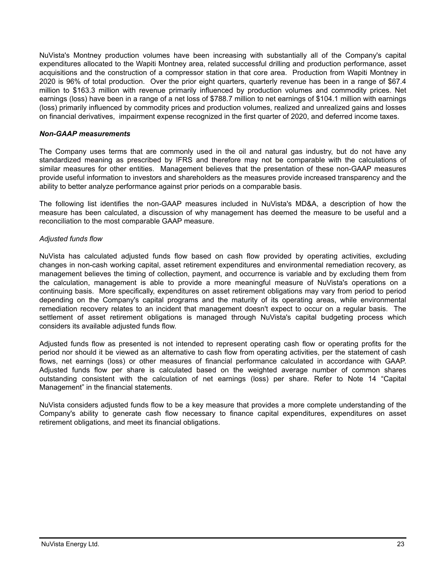NuVista's Montney production volumes have been increasing with substantially all of the Company's capital expenditures allocated to the Wapiti Montney area, related successful drilling and production performance, asset acquisitions and the construction of a compressor station in that core area. Production from Wapiti Montney in 2020 is 96% of total production. Over the prior eight quarters, quarterly revenue has been in a range of \$67.4 million to \$163.3 million with revenue primarily influenced by production volumes and commodity prices. Net earnings (loss) have been in a range of a net loss of \$788.7 million to net earnings of \$104.1 million with earnings (loss) primarily influenced by commodity prices and production volumes, realized and unrealized gains and losses on financial derivatives, impairment expense recognized in the first quarter of 2020, and deferred income taxes.

## *Non-GAAP measurements*

The Company uses terms that are commonly used in the oil and natural gas industry, but do not have any standardized meaning as prescribed by IFRS and therefore may not be comparable with the calculations of similar measures for other entities. Management believes that the presentation of these non-GAAP measures provide useful information to investors and shareholders as the measures provide increased transparency and the ability to better analyze performance against prior periods on a comparable basis.

The following list identifies the non-GAAP measures included in NuVista's MD&A, a description of how the measure has been calculated, a discussion of why management has deemed the measure to be useful and a reconciliation to the most comparable GAAP measure.

## *Adjusted funds flow*

NuVista has calculated adjusted funds flow based on cash flow provided by operating activities, excluding changes in non-cash working capital, asset retirement expenditures and environmental remediation recovery, as management believes the timing of collection, payment, and occurrence is variable and by excluding them from the calculation, management is able to provide a more meaningful measure of NuVista's operations on a continuing basis. More specifically, expenditures on asset retirement obligations may vary from period to period depending on the Company's capital programs and the maturity of its operating areas, while environmental remediation recovery relates to an incident that management doesn't expect to occur on a regular basis. The settlement of asset retirement obligations is managed through NuVista's capital budgeting process which considers its available adjusted funds flow.

Adjusted funds flow as presented is not intended to represent operating cash flow or operating profits for the period nor should it be viewed as an alternative to cash flow from operating activities, per the statement of cash flows, net earnings (loss) or other measures of financial performance calculated in accordance with GAAP. Adjusted funds flow per share is calculated based on the weighted average number of common shares outstanding consistent with the calculation of net earnings (loss) per share. Refer to Note 14 "Capital Management" in the financial statements.

NuVista considers adjusted funds flow to be a key measure that provides a more complete understanding of the Company's ability to generate cash flow necessary to finance capital expenditures, expenditures on asset retirement obligations, and meet its financial obligations.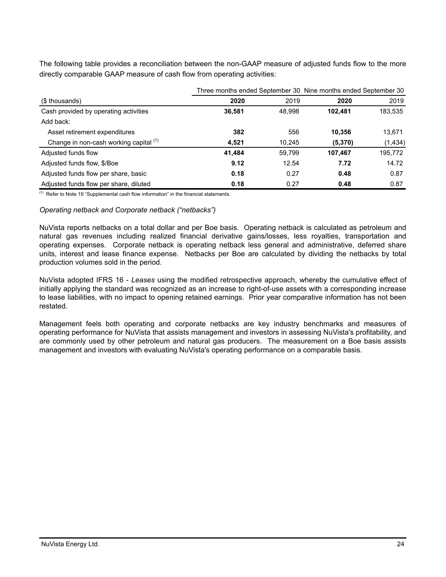The following table provides a reconciliation between the non-GAAP measure of adjusted funds flow to the more directly comparable GAAP measure of cash flow from operating activities:

|                                        |        |        | Three months ended September 30 Nine months ended September 30 |          |  |
|----------------------------------------|--------|--------|----------------------------------------------------------------|----------|--|
| (\$ thousands)                         | 2020   | 2019   | 2020                                                           | 2019     |  |
| Cash provided by operating activities  | 36,581 | 48,998 | 102.481                                                        | 183,535  |  |
| Add back:                              |        |        |                                                                |          |  |
| Asset retirement expenditures          | 382    | 556    | 10.356                                                         | 13.671   |  |
| Change in non-cash working capital (1) | 4,521  | 10.245 | (5, 370)                                                       | (1, 434) |  |
| Adjusted funds flow                    | 41,484 | 59.799 | 107,467                                                        | 195,772  |  |
| Adjusted funds flow, \$/Boe            | 9.12   | 12.54  | 7.72                                                           | 14.72    |  |
| Adjusted funds flow per share, basic   | 0.18   | 0.27   | 0.48                                                           | 0.87     |  |
| Adjusted funds flow per share, diluted | 0.18   | 0.27   | 0.48                                                           | 0.87     |  |

 $(1)$  Refer to Note 19 "Supplemental cash flow information" in the financial statements.

## *Operating netback and Corporate netback ("netbacks")*

NuVista reports netbacks on a total dollar and per Boe basis. Operating netback is calculated as petroleum and natural gas revenues including realized financial derivative gains/losses, less royalties, transportation and operating expenses. Corporate netback is operating netback less general and administrative, deferred share units, interest and lease finance expense. Netbacks per Boe are calculated by dividing the netbacks by total production volumes sold in the period.

NuVista adopted IFRS 16 - *Leases* using the modified retrospective approach, whereby the cumulative effect of initially applying the standard was recognized as an increase to right-of-use assets with a corresponding increase to lease liabilities, with no impact to opening retained earnings. Prior year comparative information has not been restated.

Management feels both operating and corporate netbacks are key industry benchmarks and measures of operating performance for NuVista that assists management and investors in assessing NuVista's profitability, and are commonly used by other petroleum and natural gas producers. The measurement on a Boe basis assists management and investors with evaluating NuVista's operating performance on a comparable basis.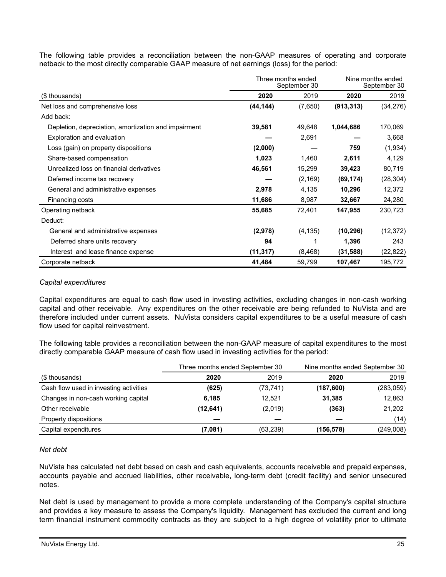The following table provides a reconciliation between the non-GAAP measures of operating and corporate netback to the most directly comparable GAAP measure of net earnings (loss) for the period:

|                                                      | Three months ended<br>September 30 |          | Nine months ended<br>September 30 |           |
|------------------------------------------------------|------------------------------------|----------|-----------------------------------|-----------|
| (\$ thousands)                                       | 2020                               | 2019     | 2020                              | 2019      |
| Net loss and comprehensive loss                      | (44, 144)                          | (7,650)  | (913, 313)                        | (34, 276) |
| Add back:                                            |                                    |          |                                   |           |
| Depletion, depreciation, amortization and impairment | 39,581                             | 49,648   | 1,044,686                         | 170,069   |
| Exploration and evaluation                           |                                    | 2,691    |                                   | 3,668     |
| Loss (gain) on property dispositions                 | (2,000)                            |          | 759                               | (1,934)   |
| Share-based compensation                             | 1,023                              | 1,460    | 2,611                             | 4,129     |
| Unrealized loss on financial derivatives             | 46,561                             | 15,299   | 39,423                            | 80,719    |
| Deferred income tax recovery                         |                                    | (2, 169) | (69, 174)                         | (28, 304) |
| General and administrative expenses                  | 2,978                              | 4,135    | 10,296                            | 12,372    |
| Financing costs                                      | 11,686                             | 8,987    | 32,667                            | 24,280    |
| Operating netback                                    | 55,685                             | 72,401   | 147,955                           | 230,723   |
| Deduct:                                              |                                    |          |                                   |           |
| General and administrative expenses                  | (2,978)                            | (4, 135) | (10, 296)                         | (12, 372) |
| Deferred share units recovery                        | 94                                 |          | 1,396                             | 243       |
| Interest and lease finance expense                   | (11, 317)                          | (8, 468) | (31, 588)                         | (22, 822) |
| Corporate netback                                    | 41,484                             | 59,799   | 107,467                           | 195,772   |

## *Capital expenditures*

Capital expenditures are equal to cash flow used in investing activities, excluding changes in non-cash working capital and other receivable. Any expenditures on the other receivable are being refunded to NuVista and are therefore included under current assets. NuVista considers capital expenditures to be a useful measure of cash flow used for capital reinvestment.

The following table provides a reconciliation between the non-GAAP measure of capital expenditures to the most directly comparable GAAP measure of cash flow used in investing activities for the period:

|                                        | Three months ended September 30 |           | Nine months ended September 30 |            |
|----------------------------------------|---------------------------------|-----------|--------------------------------|------------|
| (\$ thousands)                         | 2020                            | 2019      | 2020                           | 2019       |
| Cash flow used in investing activities | (625)                           | (73, 741) | (187,600)                      | (283, 059) |
| Changes in non-cash working capital    | 6,185                           | 12.521    | 31,385                         | 12,863     |
| Other receivable                       | (12, 641)                       | (2,019)   | (363)                          | 21,202     |
| Property dispositions                  |                                 |           |                                | (14)       |
| Capital expenditures                   | (7,081)                         | (63, 239) | (156,578)                      | (249,008)  |

## *Net debt*

NuVista has calculated net debt based on cash and cash equivalents, accounts receivable and prepaid expenses, accounts payable and accrued liabilities, other receivable, long-term debt (credit facility) and senior unsecured notes.

Net debt is used by management to provide a more complete understanding of the Company's capital structure and provides a key measure to assess the Company's liquidity. Management has excluded the current and long term financial instrument commodity contracts as they are subject to a high degree of volatility prior to ultimate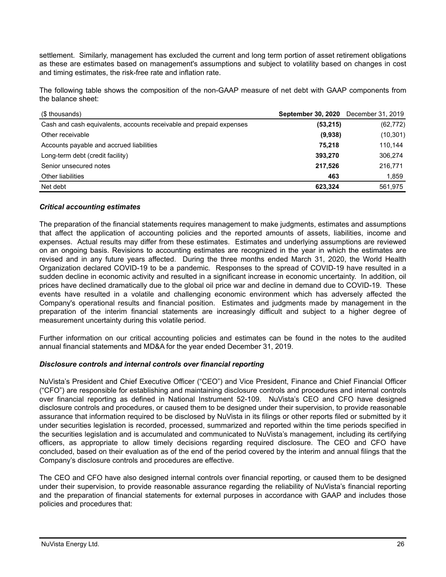settlement. Similarly, management has excluded the current and long term portion of asset retirement obligations as these are estimates based on management's assumptions and subject to volatility based on changes in cost and timing estimates, the risk-free rate and inflation rate.

The following table shows the composition of the non-GAAP measure of net debt with GAAP components from the balance sheet:

| (\$ thousands)                                                      | <b>September 30, 2020</b> December 31, 2019 |           |
|---------------------------------------------------------------------|---------------------------------------------|-----------|
| Cash and cash equivalents, accounts receivable and prepaid expenses | (53, 215)                                   | (62, 772) |
| Other receivable                                                    | (9,938)                                     | (10, 301) |
| Accounts payable and accrued liabilities                            | 75.218                                      | 110.144   |
| Long-term debt (credit facility)                                    | 393,270                                     | 306,274   |
| Senior unsecured notes                                              | 217,526                                     | 216,771   |
| Other liabilities                                                   | 463                                         | 1,859     |
| Net debt                                                            | 623.324                                     | 561.975   |

## *Critical accounting estimates*

The preparation of the financial statements requires management to make judgments, estimates and assumptions that affect the application of accounting policies and the reported amounts of assets, liabilities, income and expenses. Actual results may differ from these estimates. Estimates and underlying assumptions are reviewed on an ongoing basis. Revisions to accounting estimates are recognized in the year in which the estimates are revised and in any future years affected. During the three months ended March 31, 2020, the World Health Organization declared COVID-19 to be a pandemic. Responses to the spread of COVID-19 have resulted in a sudden decline in economic activity and resulted in a significant increase in economic uncertainty. In addition, oil prices have declined dramatically due to the global oil price war and decline in demand due to COVID-19. These events have resulted in a volatile and challenging economic environment which has adversely affected the Company's operational results and financial position. Estimates and judgments made by management in the preparation of the interim financial statements are increasingly difficult and subject to a higher degree of measurement uncertainty during this volatile period.

Further information on our critical accounting policies and estimates can be found in the notes to the audited annual financial statements and MD&A for the year ended December 31, 2019.

## *Disclosure controls and internal controls over financial reporting*

NuVista's President and Chief Executive Officer ("CEO") and Vice President, Finance and Chief Financial Officer ("CFO") are responsible for establishing and maintaining disclosure controls and procedures and internal controls over financial reporting as defined in National Instrument 52-109. NuVista's CEO and CFO have designed disclosure controls and procedures, or caused them to be designed under their supervision, to provide reasonable assurance that information required to be disclosed by NuVista in its filings or other reports filed or submitted by it under securities legislation is recorded, processed, summarized and reported within the time periods specified in the securities legislation and is accumulated and communicated to NuVista's management, including its certifying officers, as appropriate to allow timely decisions regarding required disclosure. The CEO and CFO have concluded, based on their evaluation as of the end of the period covered by the interim and annual filings that the Company's disclosure controls and procedures are effective.

The CEO and CFO have also designed internal controls over financial reporting, or caused them to be designed under their supervision, to provide reasonable assurance regarding the reliability of NuVista's financial reporting and the preparation of financial statements for external purposes in accordance with GAAP and includes those policies and procedures that: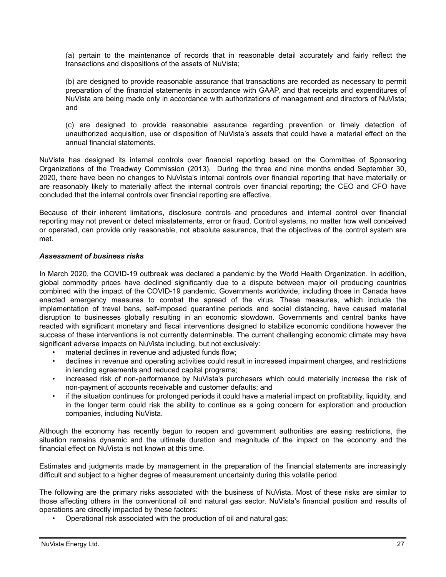(a) pertain to the maintenance of records that in reasonable detail accurately and fairly reflect the transactions and dispositions of the assets of NuVista;

(b) are designed to provide reasonable assurance that transactions are recorded as necessary to permit preparation of the financial statements in accordance with GAAP, and that receipts and expenditures of NuVista are being made only in accordance with authorizations of management and directors of NuVista; and

(c) are designed to provide reasonable assurance regarding prevention or timely detection of unauthorized acquisition, use or disposition of NuVista's assets that could have a material effect on the annual financial statements.

NuVista has designed its internal controls over financial reporting based on the Committee of Sponsoring Organizations of the Treadway Commission (2013). During the three and nine months ended September 30, 2020, there have been no changes to NuVista's internal controls over financial reporting that have materially or are reasonably likely to materially affect the internal controls over financial reporting; the CEO and CFO have concluded that the internal controls over financial reporting are effective.

Because of their inherent limitations, disclosure controls and procedures and internal control over financial reporting may not prevent or detect misstatements, error or fraud. Control systems, no matter how well conceived or operated, can provide only reasonable, not absolute assurance, that the objectives of the control system are met.

# *Assessment of business risks*

In March 2020, the COVID-19 outbreak was declared a pandemic by the World Health Organization. In addition, global commodity prices have declined significantly due to a dispute between major oil producing countries combined with the impact of the COVID-19 pandemic. Governments worldwide, including those in Canada have enacted emergency measures to combat the spread of the virus. These measures, which include the implementation of travel bans, self-imposed quarantine periods and social distancing, have caused material disruption to businesses globally resulting in an economic slowdown. Governments and central banks have reacted with significant monetary and fiscal interventions designed to stabilize economic conditions however the success of these interventions is not currently determinable. The current challenging economic climate may have significant adverse impacts on NuVista including, but not exclusively:

- material declines in revenue and adjusted funds flow;
- declines in revenue and operating activities could result in increased impairment charges, and restrictions in lending agreements and reduced capital programs;
- increased risk of non-performance by NuVista's purchasers which could materially increase the risk of non-payment of accounts receivable and customer defaults; and
- if the situation continues for prolonged periods it could have a material impact on profitability, liquidity, and in the longer term could risk the ability to continue as a going concern for exploration and production companies, including NuVista.

Although the economy has recently begun to reopen and government authorities are easing restrictions, the situation remains dynamic and the ultimate duration and magnitude of the impact on the economy and the financial effect on NuVista is not known at this time.

Estimates and judgments made by management in the preparation of the financial statements are increasingly difficult and subject to a higher degree of measurement uncertainty during this volatile period.

The following are the primary risks associated with the business of NuVista. Most of these risks are similar to those affecting others in the conventional oil and natural gas sector. NuVista's financial position and results of operations are directly impacted by these factors:

• Operational risk associated with the production of oil and natural gas;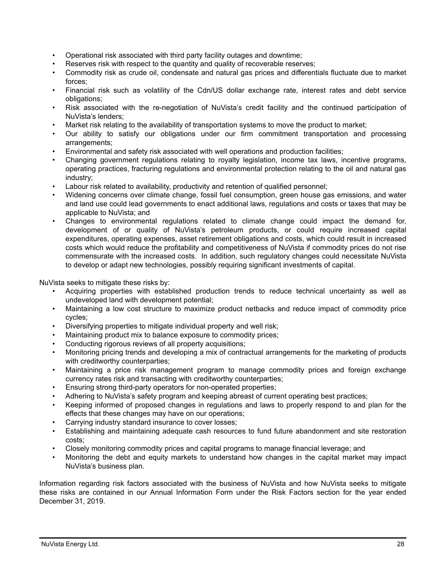- Operational risk associated with third party facility outages and downtime;
- Reserves risk with respect to the quantity and quality of recoverable reserves;
- Commodity risk as crude oil, condensate and natural gas prices and differentials fluctuate due to market forces;
- Financial risk such as volatility of the Cdn/US dollar exchange rate, interest rates and debt service obligations;
- Risk associated with the re-negotiation of NuVista's credit facility and the continued participation of NuVista's lenders;
- Market risk relating to the availability of transportation systems to move the product to market;
- Our ability to satisfy our obligations under our firm commitment transportation and processing arrangements;
- Environmental and safety risk associated with well operations and production facilities;
- Changing government regulations relating to royalty legislation, income tax laws, incentive programs, operating practices, fracturing regulations and environmental protection relating to the oil and natural gas industry;
- Labour risk related to availability, productivity and retention of qualified personnel;
- Widening concerns over climate change, fossil fuel consumption, green house gas emissions, and water and land use could lead governments to enact additional laws, regulations and costs or taxes that may be applicable to NuVista; and
- Changes to environmental regulations related to climate change could impact the demand for, development of or quality of NuVista's petroleum products, or could require increased capital expenditures, operating expenses, asset retirement obligations and costs, which could result in increased costs which would reduce the profitability and competitiveness of NuVista if commodity prices do not rise commensurate with the increased costs. In addition, such regulatory changes could necessitate NuVista to develop or adapt new technologies, possibly requiring significant investments of capital.

NuVista seeks to mitigate these risks by:

- Acquiring properties with established production trends to reduce technical uncertainty as well as undeveloped land with development potential;
- Maintaining a low cost structure to maximize product netbacks and reduce impact of commodity price cycles;
- Diversifying properties to mitigate individual property and well risk;
- Maintaining product mix to balance exposure to commodity prices;
- Conducting rigorous reviews of all property acquisitions;
- Monitoring pricing trends and developing a mix of contractual arrangements for the marketing of products with creditworthy counterparties;
- Maintaining a price risk management program to manage commodity prices and foreign exchange currency rates risk and transacting with creditworthy counterparties;
- Ensuring strong third-party operators for non-operated properties;
- Adhering to NuVista's safety program and keeping abreast of current operating best practices;
- Keeping informed of proposed changes in regulations and laws to properly respond to and plan for the effects that these changes may have on our operations;
- Carrying industry standard insurance to cover losses;
- Establishing and maintaining adequate cash resources to fund future abandonment and site restoration costs;
- Closely monitoring commodity prices and capital programs to manage financial leverage; and
- Monitoring the debt and equity markets to understand how changes in the capital market may impact NuVista's business plan.

Information regarding risk factors associated with the business of NuVista and how NuVista seeks to mitigate these risks are contained in our Annual Information Form under the Risk Factors section for the year ended December 31, 2019.